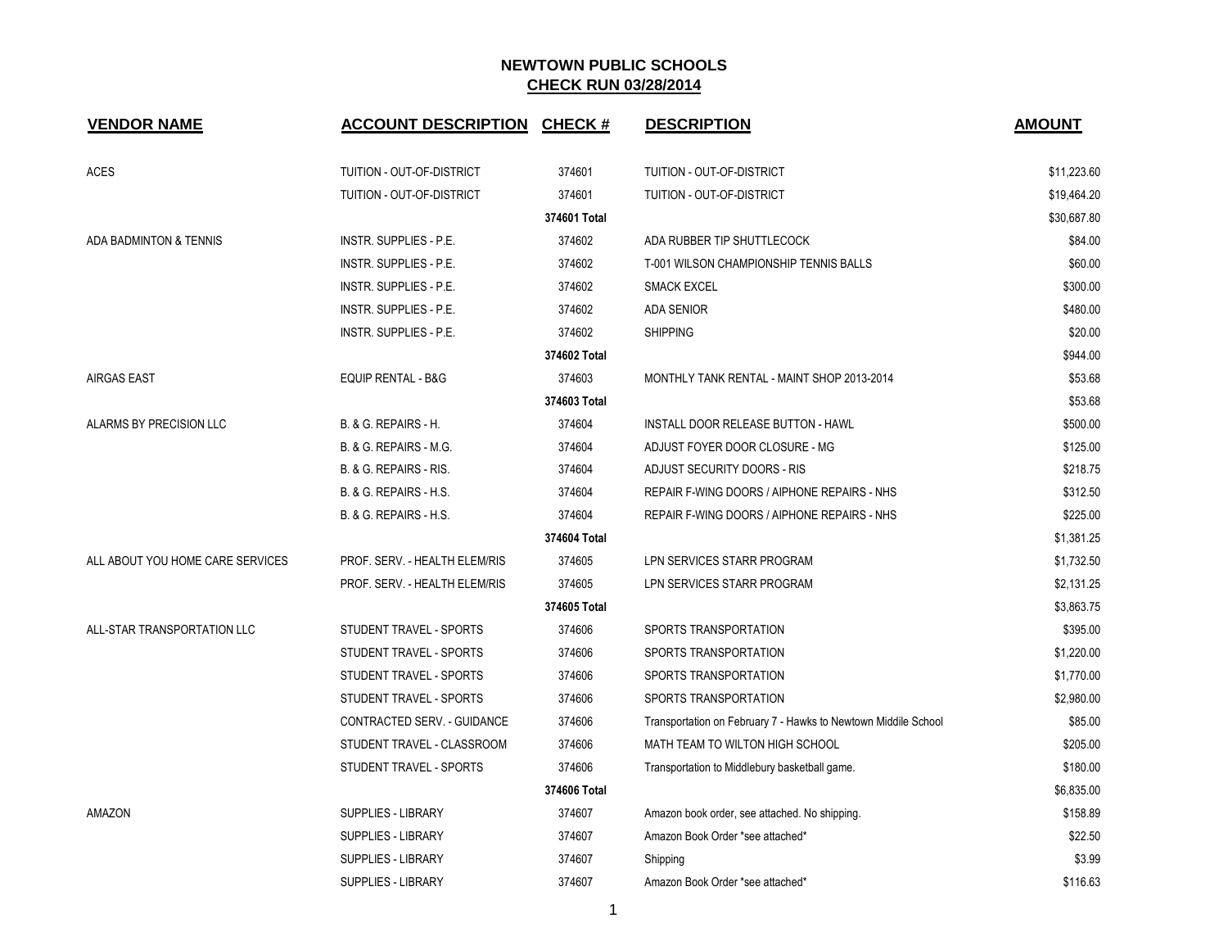| <b>VENDOR NAME</b>               | <b>ACCOUNT DESCRIPTION CHECK #</b> |              | <b>DESCRIPTION</b>                                             | <b>AMOUNT</b> |
|----------------------------------|------------------------------------|--------------|----------------------------------------------------------------|---------------|
| <b>ACES</b>                      | TUITION - OUT-OF-DISTRICT          | 374601       | TUITION - OUT-OF-DISTRICT                                      | \$11,223.60   |
|                                  | TUITION - OUT-OF-DISTRICT          | 374601       | TUITION - OUT-OF-DISTRICT                                      | \$19,464.20   |
|                                  |                                    | 374601 Total |                                                                | \$30,687.80   |
| ADA BADMINTON & TENNIS           | INSTR. SUPPLIES - P.E.             | 374602       | ADA RUBBER TIP SHUTTLECOCK                                     | \$84.00       |
|                                  | <b>INSTR. SUPPLIES - P.E.</b>      | 374602       | T-001 WILSON CHAMPIONSHIP TENNIS BALLS                         | \$60.00       |
|                                  | INSTR. SUPPLIES - P.E.             | 374602       | <b>SMACK EXCEL</b>                                             | \$300.00      |
|                                  | INSTR. SUPPLIES - P.E.             | 374602       | <b>ADA SENIOR</b>                                              | \$480.00      |
|                                  | INSTR. SUPPLIES - P.E.             | 374602       | <b>SHIPPING</b>                                                | \$20.00       |
|                                  |                                    | 374602 Total |                                                                | \$944.00      |
| <b>AIRGAS EAST</b>               | <b>EQUIP RENTAL - B&amp;G</b>      | 374603       | MONTHLY TANK RENTAL - MAINT SHOP 2013-2014                     | \$53.68       |
|                                  |                                    | 374603 Total |                                                                | \$53.68       |
| ALARMS BY PRECISION LLC          | <b>B. &amp; G. REPAIRS - H.</b>    | 374604       | <b>INSTALL DOOR RELEASE BUTTON - HAWL</b>                      | \$500.00      |
|                                  | B. & G. REPAIRS - M.G.             | 374604       | ADJUST FOYER DOOR CLOSURE - MG                                 | \$125.00      |
|                                  | B. & G. REPAIRS - RIS.             | 374604       | ADJUST SECURITY DOORS - RIS                                    | \$218.75      |
|                                  | B. & G. REPAIRS - H.S.             | 374604       | REPAIR F-WING DOORS / AIPHONE REPAIRS - NHS                    | \$312.50      |
|                                  | B. & G. REPAIRS - H.S.             | 374604       | REPAIR F-WING DOORS / AIPHONE REPAIRS - NHS                    | \$225.00      |
|                                  |                                    | 374604 Total |                                                                | \$1,381.25    |
| ALL ABOUT YOU HOME CARE SERVICES | PROF. SERV. - HEALTH ELEM/RIS      | 374605       | LPN SERVICES STARR PROGRAM                                     | \$1,732.50    |
|                                  | PROF. SERV. - HEALTH ELEM/RIS      | 374605       | LPN SERVICES STARR PROGRAM                                     | \$2,131.25    |
|                                  |                                    | 374605 Total |                                                                | \$3,863.75    |
| ALL-STAR TRANSPORTATION LLC      | STUDENT TRAVEL - SPORTS            | 374606       | SPORTS TRANSPORTATION                                          | \$395.00      |
|                                  | STUDENT TRAVEL - SPORTS            | 374606       | SPORTS TRANSPORTATION                                          | \$1,220.00    |
|                                  | STUDENT TRAVEL - SPORTS            | 374606       | SPORTS TRANSPORTATION                                          | \$1,770.00    |
|                                  | STUDENT TRAVEL - SPORTS            | 374606       | SPORTS TRANSPORTATION                                          | \$2,980.00    |
|                                  | CONTRACTED SERV. - GUIDANCE        | 374606       | Transportation on February 7 - Hawks to Newtown Middile School | \$85.00       |
|                                  | STUDENT TRAVEL - CLASSROOM         | 374606       | MATH TEAM TO WILTON HIGH SCHOOL                                | \$205.00      |
|                                  | STUDENT TRAVEL - SPORTS            | 374606       | Transportation to Middlebury basketball game.                  | \$180.00      |
|                                  |                                    | 374606 Total |                                                                | \$6,835.00    |
| AMAZON                           | SUPPLIES - LIBRARY                 | 374607       | Amazon book order, see attached. No shipping.                  | \$158.89      |
|                                  | SUPPLIES - LIBRARY                 | 374607       | Amazon Book Order *see attached*                               | \$22.50       |
|                                  | <b>SUPPLIES - LIBRARY</b>          | 374607       | Shipping                                                       | \$3.99        |
|                                  | <b>SUPPLIES - LIBRARY</b>          | 374607       | Amazon Book Order *see attached*                               | \$116.63      |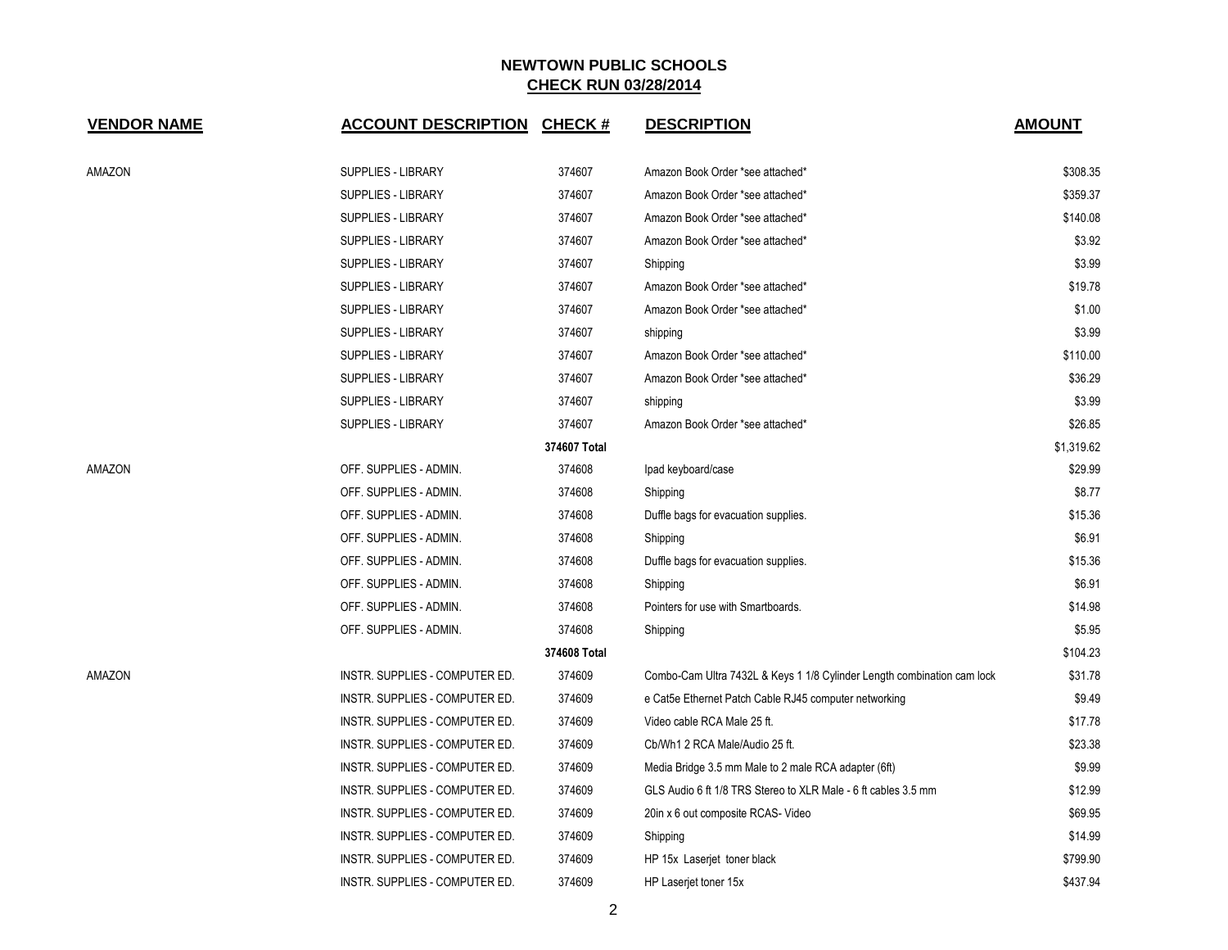| <b>VENDOR NAME</b> | <b>ACCOUNT DESCRIPTION CHECK #</b> |              | <b>DESCRIPTION</b>                                                      | <b>AMOUNT</b> |
|--------------------|------------------------------------|--------------|-------------------------------------------------------------------------|---------------|
| AMAZON             | SUPPLIES - LIBRARY                 | 374607       | Amazon Book Order *see attached*                                        | \$308.35      |
|                    | SUPPLIES - LIBRARY                 | 374607       | Amazon Book Order *see attached*                                        | \$359.37      |
|                    | SUPPLIES - LIBRARY                 | 374607       | Amazon Book Order *see attached*                                        | \$140.08      |
|                    | SUPPLIES - LIBRARY                 | 374607       | Amazon Book Order *see attached*                                        | \$3.92        |
|                    | SUPPLIES - LIBRARY                 | 374607       | Shipping                                                                | \$3.99        |
|                    | <b>SUPPLIES - LIBRARY</b>          | 374607       | Amazon Book Order *see attached*                                        | \$19.78       |
|                    | <b>SUPPLIES - LIBRARY</b>          | 374607       | Amazon Book Order *see attached*                                        | \$1.00        |
|                    | SUPPLIES - LIBRARY                 | 374607       | shipping                                                                | \$3.99        |
|                    | SUPPLIES - LIBRARY                 | 374607       | Amazon Book Order *see attached*                                        | \$110.00      |
|                    | SUPPLIES - LIBRARY                 | 374607       | Amazon Book Order *see attached*                                        | \$36.29       |
|                    | SUPPLIES - LIBRARY                 | 374607       | shipping                                                                | \$3.99        |
|                    | SUPPLIES - LIBRARY                 | 374607       | Amazon Book Order *see attached*                                        | \$26.85       |
|                    |                                    | 374607 Total |                                                                         | \$1,319.62    |
| AMAZON             | OFF. SUPPLIES - ADMIN.             | 374608       | Ipad keyboard/case                                                      | \$29.99       |
|                    | OFF. SUPPLIES - ADMIN.             | 374608       | Shipping                                                                | \$8.77        |
|                    | OFF. SUPPLIES - ADMIN.             | 374608       | Duffle bags for evacuation supplies.                                    | \$15.36       |
|                    | OFF. SUPPLIES - ADMIN.             | 374608       | Shipping                                                                | \$6.91        |
|                    | OFF. SUPPLIES - ADMIN.             | 374608       | Duffle bags for evacuation supplies.                                    | \$15.36       |
|                    | OFF. SUPPLIES - ADMIN.             | 374608       | Shipping                                                                | \$6.91        |
|                    | OFF. SUPPLIES - ADMIN.             | 374608       | Pointers for use with Smartboards.                                      | \$14.98       |
|                    | OFF. SUPPLIES - ADMIN.             | 374608       | Shipping                                                                | \$5.95        |
|                    |                                    | 374608 Total |                                                                         | \$104.23      |
| AMAZON             | INSTR. SUPPLIES - COMPUTER ED.     | 374609       | Combo-Cam Ultra 7432L & Keys 1 1/8 Cylinder Length combination cam lock | \$31.78       |
|                    | INSTR. SUPPLIES - COMPUTER ED.     | 374609       | e Cat5e Ethernet Patch Cable RJ45 computer networking                   | \$9.49        |
|                    | INSTR. SUPPLIES - COMPUTER ED.     | 374609       | Video cable RCA Male 25 ft.                                             | \$17.78       |
|                    | INSTR. SUPPLIES - COMPUTER ED.     | 374609       | Cb/Wh1 2 RCA Male/Audio 25 ft.                                          | \$23.38       |
|                    | INSTR. SUPPLIES - COMPUTER ED.     | 374609       | Media Bridge 3.5 mm Male to 2 male RCA adapter (6ft)                    | \$9.99        |
|                    | INSTR. SUPPLIES - COMPUTER ED.     | 374609       | GLS Audio 6 ft 1/8 TRS Stereo to XLR Male - 6 ft cables 3.5 mm          | \$12.99       |
|                    | INSTR. SUPPLIES - COMPUTER ED.     | 374609       | 20in x 6 out composite RCAS- Video                                      | \$69.95       |
|                    | INSTR. SUPPLIES - COMPUTER ED.     | 374609       | Shipping                                                                | \$14.99       |
|                    | INSTR. SUPPLIES - COMPUTER ED.     | 374609       | HP 15x Laserjet toner black                                             | \$799.90      |
|                    | INSTR. SUPPLIES - COMPUTER ED.     | 374609       | HP Laserjet toner 15x                                                   | \$437.94      |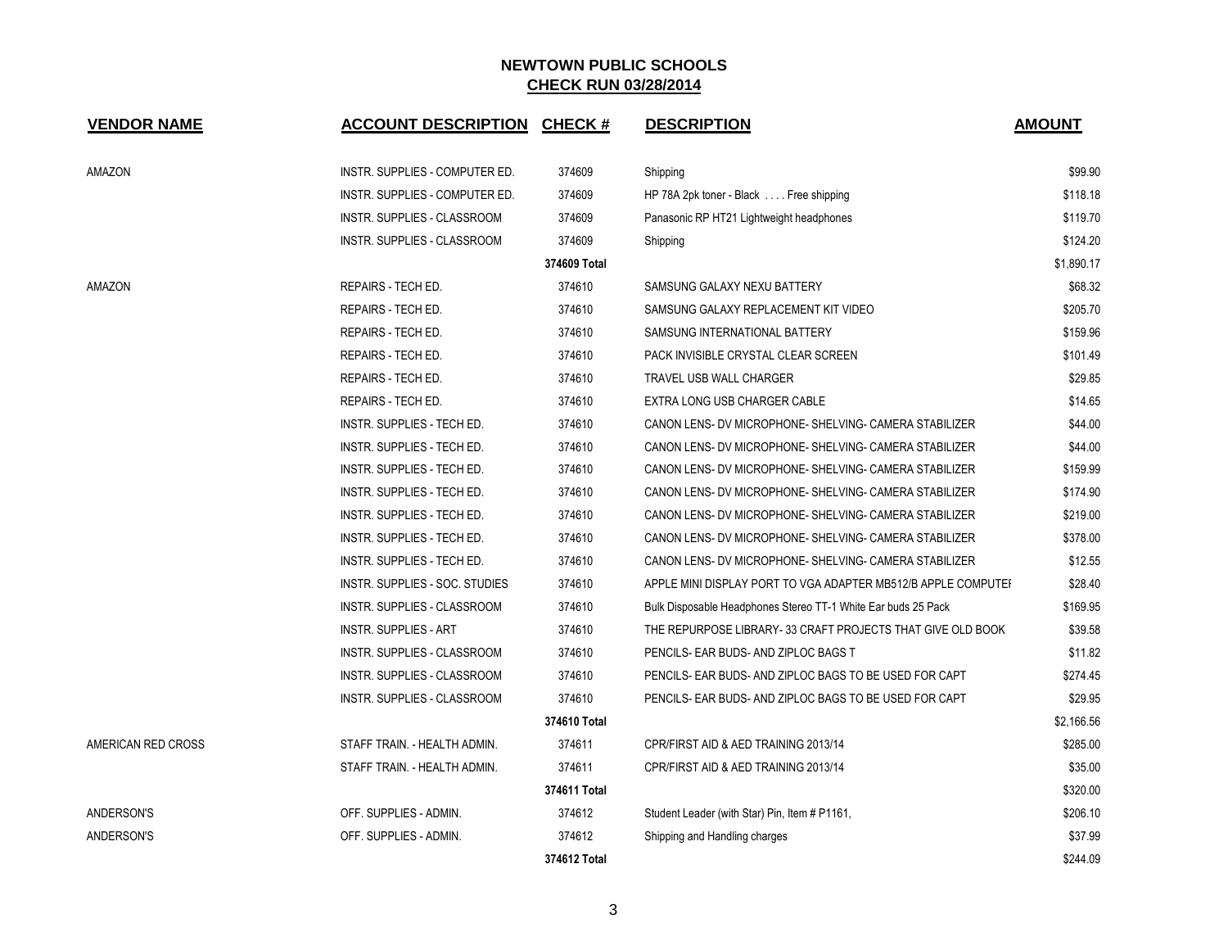| <b>VENDOR NAME</b> | <b>ACCOUNT DESCRIPTION CHECK #</b> |              | <b>DESCRIPTION</b>                                            | <b>AMOUNT</b> |
|--------------------|------------------------------------|--------------|---------------------------------------------------------------|---------------|
| AMAZON             | INSTR. SUPPLIES - COMPUTER ED.     | 374609       | Shipping                                                      | \$99.90       |
|                    | INSTR. SUPPLIES - COMPUTER ED.     | 374609       | HP 78A 2pk toner - Black Free shipping                        | \$118.18      |
|                    | INSTR. SUPPLIES - CLASSROOM        | 374609       | Panasonic RP HT21 Lightweight headphones                      | \$119.70      |
|                    | INSTR. SUPPLIES - CLASSROOM        | 374609       | Shipping                                                      | \$124.20      |
|                    |                                    | 374609 Total |                                                               | \$1,890.17    |
| <b>AMAZON</b>      | REPAIRS - TECH ED.                 | 374610       | SAMSUNG GALAXY NEXU BATTERY                                   | \$68.32       |
|                    | REPAIRS - TECH ED.                 | 374610       | SAMSUNG GALAXY REPLACEMENT KIT VIDEO                          | \$205.70      |
|                    | REPAIRS - TECH ED.                 | 374610       | SAMSUNG INTERNATIONAL BATTERY                                 | \$159.96      |
|                    | REPAIRS - TECH ED.                 | 374610       | PACK INVISIBLE CRYSTAL CLEAR SCREEN                           | \$101.49      |
|                    | REPAIRS - TECH ED.                 | 374610       | <b>TRAVEL USB WALL CHARGER</b>                                | \$29.85       |
|                    | REPAIRS - TECH ED.                 | 374610       | EXTRA LONG USB CHARGER CABLE                                  | \$14.65       |
|                    | <b>INSTR. SUPPLIES - TECH ED.</b>  | 374610       | CANON LENS- DV MICROPHONE- SHELVING- CAMERA STABILIZER        | \$44.00       |
|                    | INSTR. SUPPLIES - TECH ED.         | 374610       | CANON LENS- DV MICROPHONE- SHELVING- CAMERA STABILIZER        | \$44.00       |
|                    | INSTR. SUPPLIES - TECH ED.         | 374610       | CANON LENS- DV MICROPHONE- SHELVING- CAMERA STABILIZER        | \$159.99      |
|                    | INSTR. SUPPLIES - TECH ED.         | 374610       | CANON LENS- DV MICROPHONE- SHELVING- CAMERA STABILIZER        | \$174.90      |
|                    | INSTR. SUPPLIES - TECH ED.         | 374610       | CANON LENS- DV MICROPHONE- SHELVING- CAMERA STABILIZER        | \$219.00      |
|                    | INSTR. SUPPLIES - TECH ED.         | 374610       | CANON LENS- DV MICROPHONE- SHELVING- CAMERA STABILIZER        | \$378.00      |
|                    | INSTR. SUPPLIES - TECH ED.         | 374610       | CANON LENS- DV MICROPHONE- SHELVING- CAMERA STABILIZER        | \$12.55       |
|                    | INSTR. SUPPLIES - SOC. STUDIES     | 374610       | APPLE MINI DISPLAY PORT TO VGA ADAPTER MB512/B APPLE COMPUTEI | \$28.40       |
|                    | INSTR. SUPPLIES - CLASSROOM        | 374610       | Bulk Disposable Headphones Stereo TT-1 White Ear buds 25 Pack | \$169.95      |
|                    | <b>INSTR. SUPPLIES - ART</b>       | 374610       | THE REPURPOSE LIBRARY-33 CRAFT PROJECTS THAT GIVE OLD BOOK    | \$39.58       |
|                    | INSTR. SUPPLIES - CLASSROOM        | 374610       | PENCILS- EAR BUDS- AND ZIPLOC BAGS T                          | \$11.82       |
|                    | INSTR. SUPPLIES - CLASSROOM        | 374610       | PENCILS- EAR BUDS- AND ZIPLOC BAGS TO BE USED FOR CAPT        | \$274.45      |
|                    | INSTR. SUPPLIES - CLASSROOM        | 374610       | PENCILS- EAR BUDS- AND ZIPLOC BAGS TO BE USED FOR CAPT        | \$29.95       |
|                    |                                    | 374610 Total |                                                               | \$2.166.56    |
| AMERICAN RED CROSS | STAFF TRAIN. - HEALTH ADMIN.       | 374611       | CPR/FIRST AID & AED TRAINING 2013/14                          | \$285.00      |
|                    | STAFF TRAIN. - HEALTH ADMIN.       | 374611       | CPR/FIRST AID & AED TRAINING 2013/14                          | \$35.00       |
|                    |                                    | 374611 Total |                                                               | \$320.00      |
| <b>ANDERSON'S</b>  | OFF. SUPPLIES - ADMIN.             | 374612       | Student Leader (with Star) Pin, Item # P1161,                 | \$206.10      |
| <b>ANDERSON'S</b>  | OFF. SUPPLIES - ADMIN.             | 374612       | Shipping and Handling charges                                 | \$37.99       |
|                    |                                    | 374612 Total |                                                               | \$244.09      |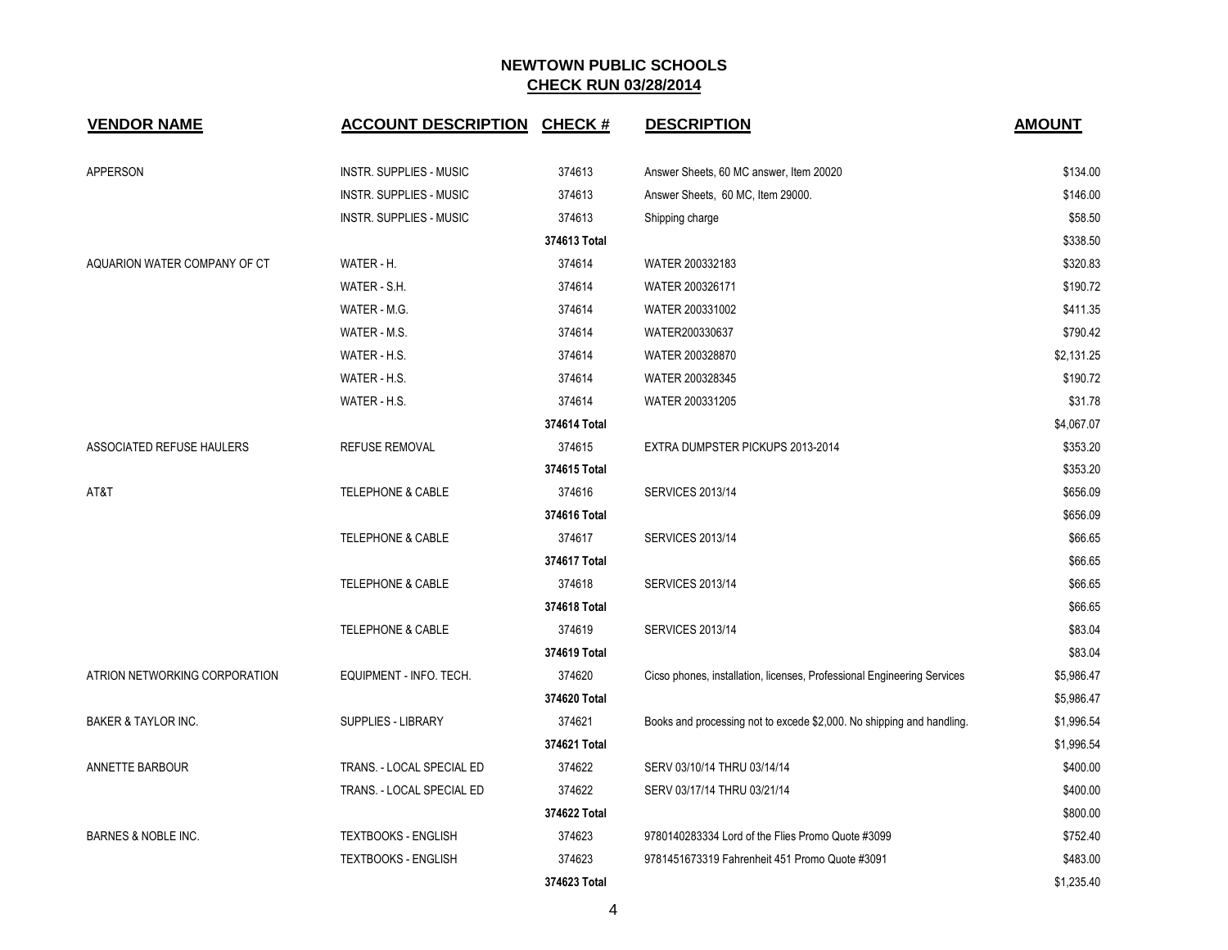| <b>VENDOR NAME</b>             | <b>ACCOUNT DESCRIPTION CHECK #</b> |              | <b>DESCRIPTION</b>                                                      | <b>AMOUNT</b> |
|--------------------------------|------------------------------------|--------------|-------------------------------------------------------------------------|---------------|
| <b>APPERSON</b>                | <b>INSTR. SUPPLIES - MUSIC</b>     | 374613       | Answer Sheets, 60 MC answer, Item 20020                                 | \$134.00      |
|                                | <b>INSTR. SUPPLIES - MUSIC</b>     | 374613       | Answer Sheets, 60 MC, Item 29000.                                       | \$146.00      |
|                                | INSTR. SUPPLIES - MUSIC            | 374613       | Shipping charge                                                         | \$58.50       |
|                                |                                    | 374613 Total |                                                                         | \$338.50      |
| AQUARION WATER COMPANY OF CT   | WATER - H.                         | 374614       | WATER 200332183                                                         | \$320.83      |
|                                | WATER - S.H.                       | 374614       | WATER 200326171                                                         | \$190.72      |
|                                | WATER - M.G.                       | 374614       | WATER 200331002                                                         | \$411.35      |
|                                | WATER - M.S.                       | 374614       | WATER200330637                                                          | \$790.42      |
|                                | WATER - H.S.                       | 374614       | WATER 200328870                                                         | \$2,131.25    |
|                                | WATER - H.S.                       | 374614       | WATER 200328345                                                         | \$190.72      |
|                                | WATER - H.S.                       | 374614       | WATER 200331205                                                         | \$31.78       |
|                                |                                    | 374614 Total |                                                                         | \$4,067.07    |
| ASSOCIATED REFUSE HAULERS      | <b>REFUSE REMOVAL</b>              | 374615       | EXTRA DUMPSTER PICKUPS 2013-2014                                        | \$353.20      |
|                                |                                    | 374615 Total |                                                                         | \$353.20      |
| AT&T                           | TELEPHONE & CABLE                  | 374616       | <b>SERVICES 2013/14</b>                                                 | \$656.09      |
|                                |                                    | 374616 Total |                                                                         | \$656.09      |
|                                | <b>TELEPHONE &amp; CABLE</b>       | 374617       | <b>SERVICES 2013/14</b>                                                 | \$66.65       |
|                                |                                    | 374617 Total |                                                                         | \$66.65       |
|                                | <b>TELEPHONE &amp; CABLE</b>       | 374618       | <b>SERVICES 2013/14</b>                                                 | \$66.65       |
|                                |                                    | 374618 Total |                                                                         | \$66.65       |
|                                | <b>TELEPHONE &amp; CABLE</b>       | 374619       | <b>SERVICES 2013/14</b>                                                 | \$83.04       |
|                                |                                    | 374619 Total |                                                                         | \$83.04       |
| ATRION NETWORKING CORPORATION  | EQUIPMENT - INFO. TECH.            | 374620       | Cicso phones, installation, licenses, Professional Engineering Services | \$5,986.47    |
|                                |                                    | 374620 Total |                                                                         | \$5,986.47    |
| BAKER & TAYLOR INC.            | SUPPLIES - LIBRARY                 | 374621       | Books and processing not to excede \$2,000. No shipping and handling.   | \$1,996.54    |
|                                |                                    | 374621 Total |                                                                         | \$1,996.54    |
| ANNETTE BARBOUR                | TRANS. - LOCAL SPECIAL ED          | 374622       | SERV 03/10/14 THRU 03/14/14                                             | \$400.00      |
|                                | TRANS. - LOCAL SPECIAL ED          | 374622       | SERV 03/17/14 THRU 03/21/14                                             | \$400.00      |
|                                |                                    | 374622 Total |                                                                         | \$800.00      |
| <b>BARNES &amp; NOBLE INC.</b> | <b>TEXTBOOKS - ENGLISH</b>         | 374623       | 9780140283334 Lord of the Flies Promo Quote #3099                       | \$752.40      |
|                                | <b>TEXTBOOKS - ENGLISH</b>         | 374623       | 9781451673319 Fahrenheit 451 Promo Quote #3091                          | \$483.00      |
|                                |                                    | 374623 Total |                                                                         | \$1,235.40    |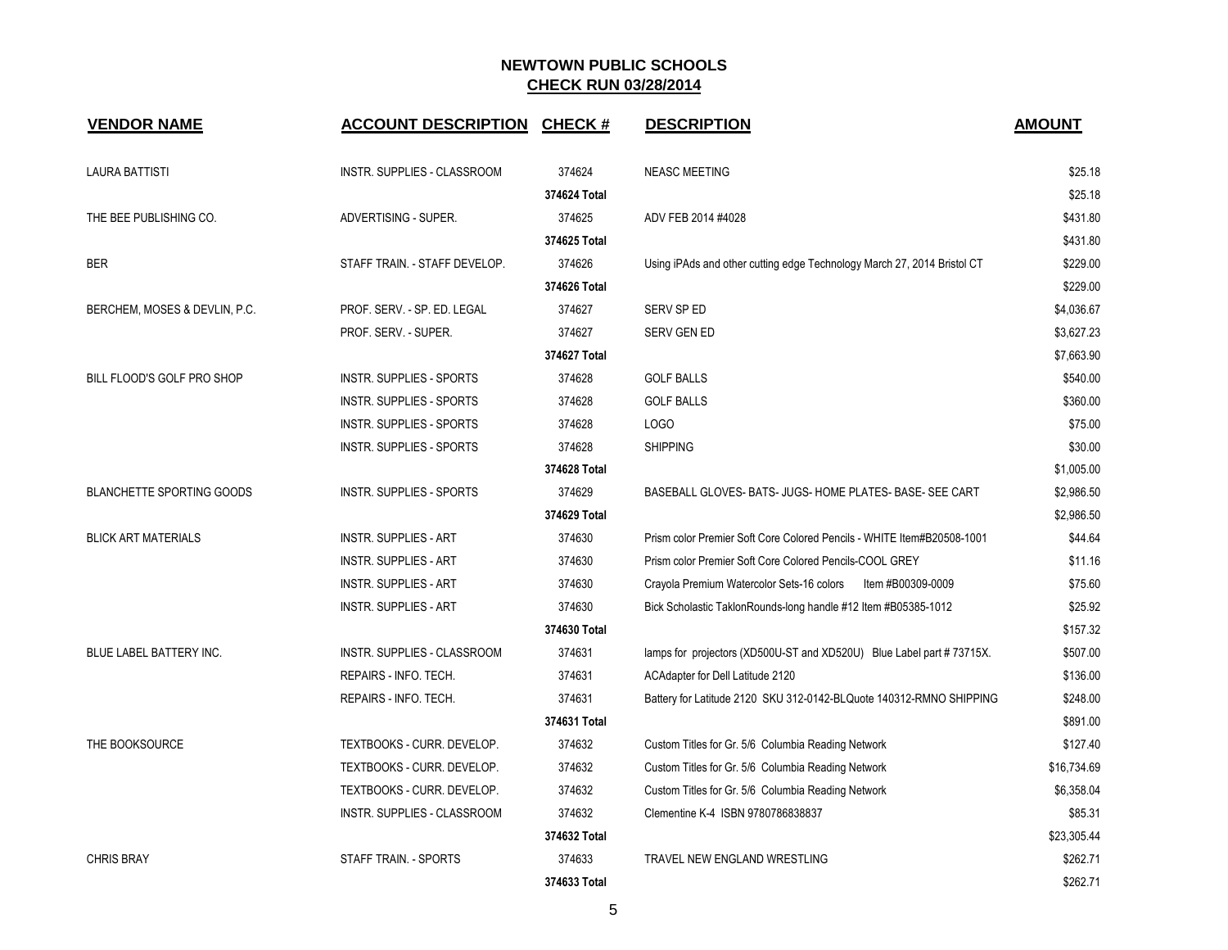| <b>VENDOR NAME</b>               | <b>ACCOUNT DESCRIPTION</b>         | <b>CHECK#</b> | <b>DESCRIPTION</b>                                                      | <b>AMOUNT</b> |
|----------------------------------|------------------------------------|---------------|-------------------------------------------------------------------------|---------------|
| <b>LAURA BATTISTI</b>            | INSTR. SUPPLIES - CLASSROOM        | 374624        | <b>NEASC MEETING</b>                                                    | \$25.18       |
|                                  |                                    | 374624 Total  |                                                                         | \$25.18       |
| THE BEE PUBLISHING CO.           | ADVERTISING - SUPER.               | 374625        | ADV FEB 2014 #4028                                                      | \$431.80      |
|                                  |                                    | 374625 Total  |                                                                         | \$431.80      |
| <b>BER</b>                       | STAFF TRAIN. - STAFF DEVELOP.      | 374626        | Using iPAds and other cutting edge Technology March 27, 2014 Bristol CT | \$229.00      |
|                                  |                                    | 374626 Total  |                                                                         | \$229.00      |
| BERCHEM, MOSES & DEVLIN, P.C.    | PROF. SERV. - SP. ED. LEGAL        | 374627        | SERV SP ED                                                              | \$4,036.67    |
|                                  | PROF. SERV. - SUPER.               | 374627        | SERV GEN ED                                                             | \$3,627.23    |
|                                  |                                    | 374627 Total  |                                                                         | \$7,663.90    |
| BILL FLOOD'S GOLF PRO SHOP       | <b>INSTR. SUPPLIES - SPORTS</b>    | 374628        | <b>GOLF BALLS</b>                                                       | \$540.00      |
|                                  | <b>INSTR. SUPPLIES - SPORTS</b>    | 374628        | <b>GOLF BALLS</b>                                                       | \$360.00      |
|                                  | <b>INSTR. SUPPLIES - SPORTS</b>    | 374628        | LOGO                                                                    | \$75.00       |
|                                  | <b>INSTR. SUPPLIES - SPORTS</b>    | 374628        | <b>SHIPPING</b>                                                         | \$30.00       |
|                                  |                                    | 374628 Total  |                                                                         | \$1,005.00    |
| <b>BLANCHETTE SPORTING GOODS</b> | <b>INSTR. SUPPLIES - SPORTS</b>    | 374629        | BASEBALL GLOVES- BATS- JUGS- HOME PLATES- BASE- SEE CART                | \$2,986.50    |
|                                  |                                    | 374629 Total  |                                                                         | \$2,986.50    |
| <b>BLICK ART MATERIALS</b>       | <b>INSTR. SUPPLIES - ART</b>       | 374630        | Prism color Premier Soft Core Colored Pencils - WHITE Item#B20508-1001  | \$44.64       |
|                                  | <b>INSTR. SUPPLIES - ART</b>       | 374630        | Prism color Premier Soft Core Colored Pencils-COOL GREY                 | \$11.16       |
|                                  | <b>INSTR. SUPPLIES - ART</b>       | 374630        | Crayola Premium Watercolor Sets-16 colors<br>Item #B00309-0009          | \$75.60       |
|                                  | <b>INSTR. SUPPLIES - ART</b>       | 374630        | Bick Scholastic TaklonRounds-long handle #12 Item #B05385-1012          | \$25.92       |
|                                  |                                    | 374630 Total  |                                                                         | \$157.32      |
| <b>BLUE LABEL BATTERY INC.</b>   | <b>INSTR. SUPPLIES - CLASSROOM</b> | 374631        | lamps for projectors (XD500U-ST and XD520U) Blue Label part #73715X.    | \$507.00      |
|                                  | REPAIRS - INFO. TECH.              | 374631        | ACAdapter for Dell Latitude 2120                                        | \$136.00      |
|                                  | REPAIRS - INFO. TECH.              | 374631        | Battery for Latitude 2120 SKU 312-0142-BLQuote 140312-RMNO SHIPPING     | \$248.00      |
|                                  |                                    | 374631 Total  |                                                                         | \$891.00      |
| THE BOOKSOURCE                   | TEXTBOOKS - CURR. DEVELOP.         | 374632        | Custom Titles for Gr. 5/6 Columbia Reading Network                      | \$127.40      |
|                                  | TEXTBOOKS - CURR. DEVELOP.         | 374632        | Custom Titles for Gr. 5/6 Columbia Reading Network                      | \$16,734.69   |
|                                  | TEXTBOOKS - CURR. DEVELOP.         | 374632        | Custom Titles for Gr. 5/6 Columbia Reading Network                      | \$6,358.04    |
|                                  | INSTR. SUPPLIES - CLASSROOM        | 374632        | Clementine K-4 ISBN 9780786838837                                       | \$85.31       |
|                                  |                                    | 374632 Total  |                                                                         | \$23,305.44   |
| <b>CHRIS BRAY</b>                | STAFF TRAIN. - SPORTS              | 374633        | TRAVEL NEW ENGLAND WRESTLING                                            | \$262.71      |
|                                  |                                    | 374633 Total  |                                                                         | \$262.71      |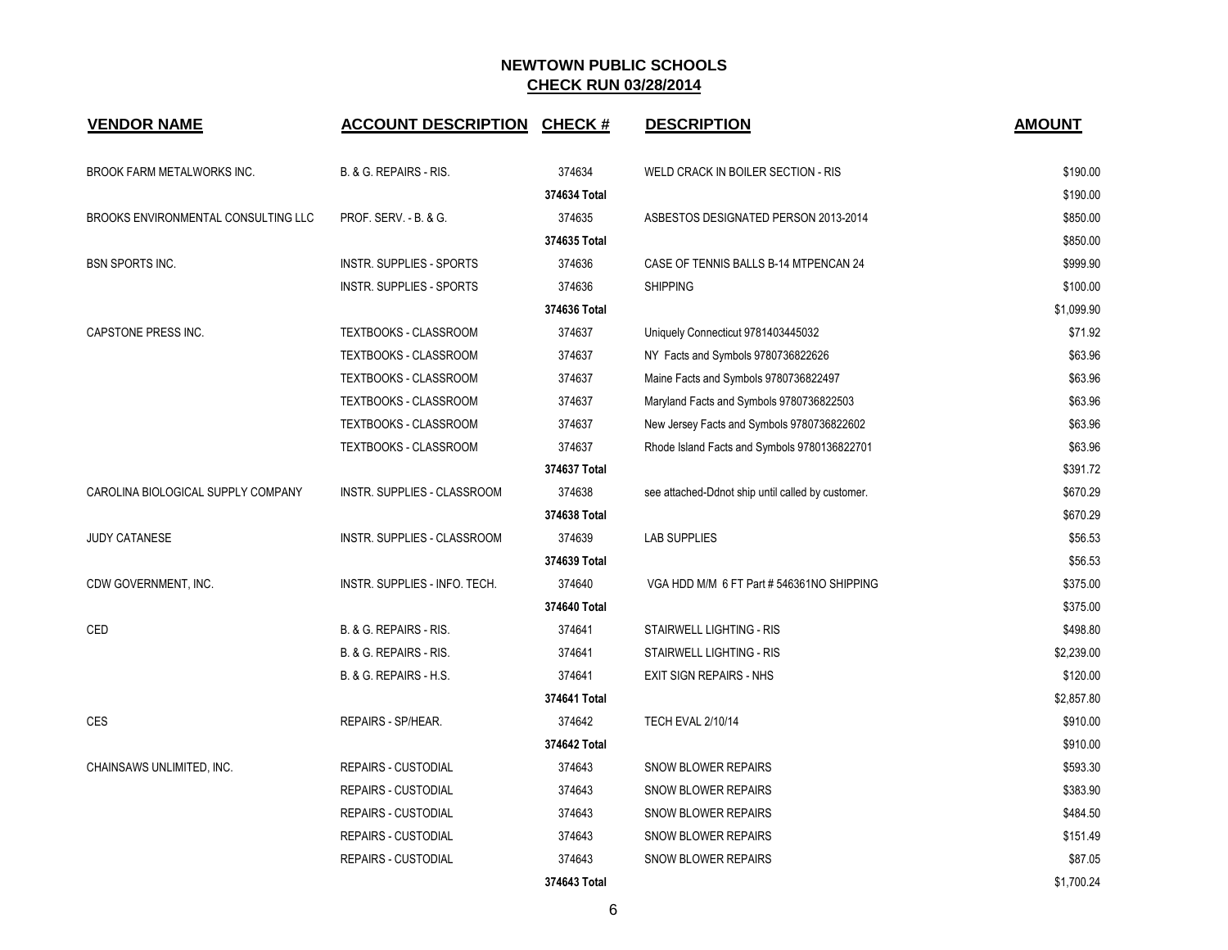| <b>VENDOR NAME</b>                  | <b>ACCOUNT DESCRIPTION</b>      | <b>CHECK#</b> | <b>DESCRIPTION</b>                                | <b>AMOUNT</b> |
|-------------------------------------|---------------------------------|---------------|---------------------------------------------------|---------------|
| BROOK FARM METALWORKS INC.          | B. & G. REPAIRS - RIS.          | 374634        | WELD CRACK IN BOILER SECTION - RIS                | \$190.00      |
|                                     |                                 | 374634 Total  |                                                   | \$190.00      |
| BROOKS ENVIRONMENTAL CONSULTING LLC | PROF. SERV. - B. & G.           | 374635        | ASBESTOS DESIGNATED PERSON 2013-2014              | \$850.00      |
|                                     |                                 | 374635 Total  |                                                   | \$850.00      |
| <b>BSN SPORTS INC.</b>              | <b>INSTR. SUPPLIES - SPORTS</b> | 374636        | CASE OF TENNIS BALLS B-14 MTPENCAN 24             | \$999.90      |
|                                     | <b>INSTR. SUPPLIES - SPORTS</b> | 374636        | <b>SHIPPING</b>                                   | \$100.00      |
|                                     |                                 | 374636 Total  |                                                   | \$1,099.90    |
| CAPSTONE PRESS INC.                 | TEXTBOOKS - CLASSROOM           | 374637        | Uniquely Connecticut 9781403445032                | \$71.92       |
|                                     | TEXTBOOKS - CLASSROOM           | 374637        | NY Facts and Symbols 9780736822626                | \$63.96       |
|                                     | TEXTBOOKS - CLASSROOM           | 374637        | Maine Facts and Symbols 9780736822497             | \$63.96       |
|                                     | TEXTBOOKS - CLASSROOM           | 374637        | Maryland Facts and Symbols 9780736822503          | \$63.96       |
|                                     | TEXTBOOKS - CLASSROOM           | 374637        | New Jersey Facts and Symbols 9780736822602        | \$63.96       |
|                                     | TEXTBOOKS - CLASSROOM           | 374637        | Rhode Island Facts and Symbols 9780136822701      | \$63.96       |
|                                     |                                 | 374637 Total  |                                                   | \$391.72      |
| CAROLINA BIOLOGICAL SUPPLY COMPANY  | INSTR. SUPPLIES - CLASSROOM     | 374638        | see attached-Ddnot ship until called by customer. | \$670.29      |
|                                     |                                 | 374638 Total  |                                                   | \$670.29      |
| <b>JUDY CATANESE</b>                | INSTR. SUPPLIES - CLASSROOM     | 374639        | <b>LAB SUPPLIES</b>                               | \$56.53       |
|                                     |                                 | 374639 Total  |                                                   | \$56.53       |
| CDW GOVERNMENT, INC.                | INSTR. SUPPLIES - INFO. TECH.   | 374640        | VGA HDD M/M 6 FT Part # 546361NO SHIPPING         | \$375.00      |
|                                     |                                 | 374640 Total  |                                                   | \$375.00      |
| <b>CED</b>                          | B. & G. REPAIRS - RIS.          | 374641        | STAIRWELL LIGHTING - RIS                          | \$498.80      |
|                                     | B. & G. REPAIRS - RIS.          | 374641        | STAIRWELL LIGHTING - RIS                          | \$2,239.00    |
|                                     | B. & G. REPAIRS - H.S.          | 374641        | <b>EXIT SIGN REPAIRS - NHS</b>                    | \$120.00      |
|                                     |                                 | 374641 Total  |                                                   | \$2,857.80    |
| <b>CES</b>                          | REPAIRS - SP/HEAR.              | 374642        | <b>TECH EVAL 2/10/14</b>                          | \$910.00      |
|                                     |                                 | 374642 Total  |                                                   | \$910.00      |
| CHAINSAWS UNLIMITED, INC.           | <b>REPAIRS - CUSTODIAL</b>      | 374643        | <b>SNOW BLOWER REPAIRS</b>                        | \$593.30      |
|                                     | <b>REPAIRS - CUSTODIAL</b>      | 374643        | <b>SNOW BLOWER REPAIRS</b>                        | \$383.90      |
|                                     | <b>REPAIRS - CUSTODIAL</b>      | 374643        | <b>SNOW BLOWER REPAIRS</b>                        | \$484.50      |
|                                     | <b>REPAIRS - CUSTODIAL</b>      | 374643        | <b>SNOW BLOWER REPAIRS</b>                        | \$151.49      |
|                                     | <b>REPAIRS - CUSTODIAL</b>      | 374643        | <b>SNOW BLOWER REPAIRS</b>                        | \$87.05       |
|                                     |                                 | 374643 Total  |                                                   | \$1,700.24    |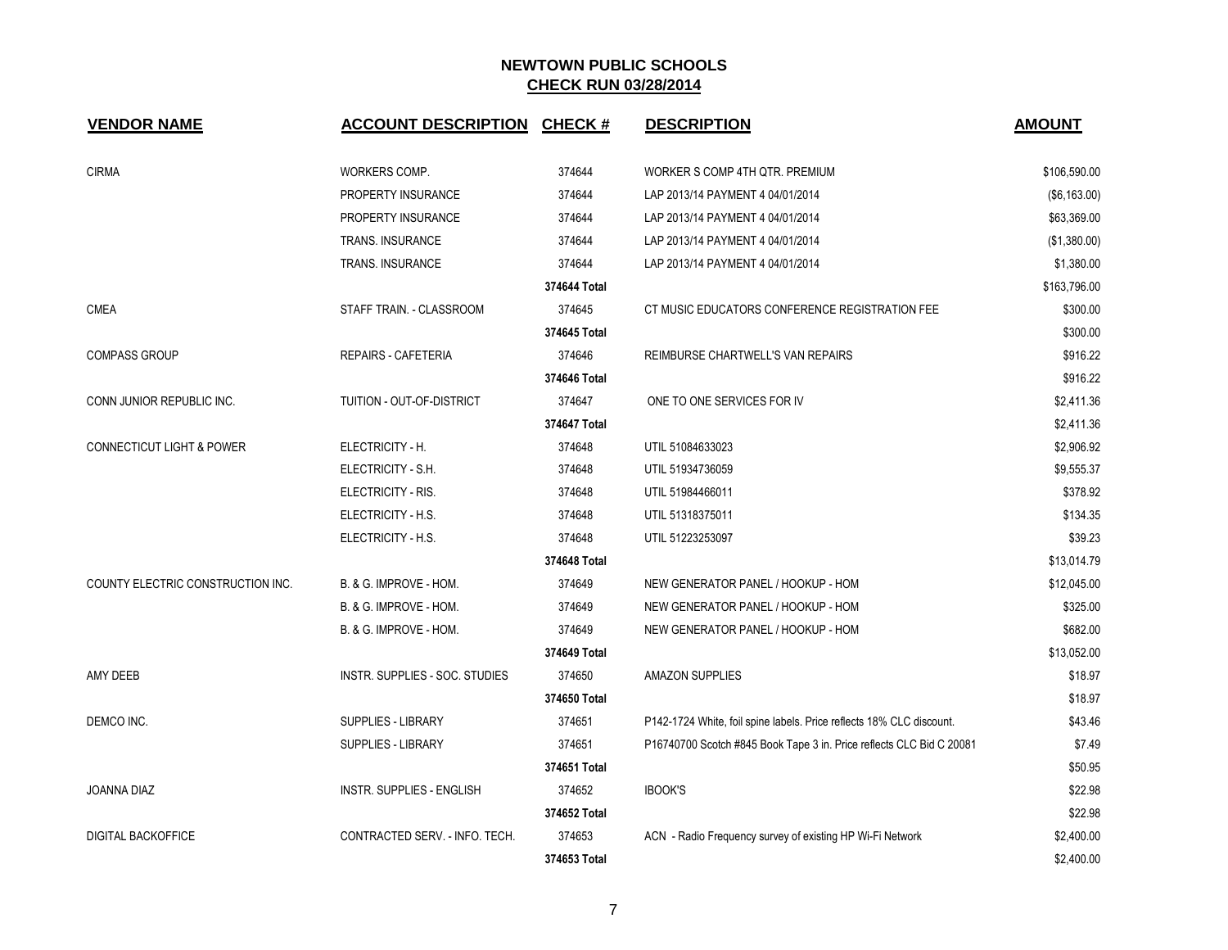| <b>VENDOR NAME</b>                   | <b>ACCOUNT DESCRIPTION</b>     | <b>CHECK#</b> | <b>DESCRIPTION</b>                                                   | <b>AMOUNT</b> |
|--------------------------------------|--------------------------------|---------------|----------------------------------------------------------------------|---------------|
| <b>CIRMA</b>                         | WORKERS COMP.                  | 374644        | WORKER S COMP 4TH QTR. PREMIUM                                       | \$106,590.00  |
|                                      | PROPERTY INSURANCE             | 374644        | LAP 2013/14 PAYMENT 4 04/01/2014                                     | (\$6,163.00)  |
|                                      | PROPERTY INSURANCE             | 374644        | LAP 2013/14 PAYMENT 4 04/01/2014                                     | \$63,369.00   |
|                                      | TRANS. INSURANCE               | 374644        | LAP 2013/14 PAYMENT 4 04/01/2014                                     | (\$1,380.00)  |
|                                      | <b>TRANS. INSURANCE</b>        | 374644        | LAP 2013/14 PAYMENT 4 04/01/2014                                     | \$1,380.00    |
|                                      |                                | 374644 Total  |                                                                      | \$163,796.00  |
| <b>CMEA</b>                          | STAFF TRAIN. - CLASSROOM       | 374645        | CT MUSIC EDUCATORS CONFERENCE REGISTRATION FEE                       | \$300.00      |
|                                      |                                | 374645 Total  |                                                                      | \$300.00      |
| <b>COMPASS GROUP</b>                 | REPAIRS - CAFETERIA            | 374646        | REIMBURSE CHARTWELL'S VAN REPAIRS                                    | \$916.22      |
|                                      |                                | 374646 Total  |                                                                      | \$916.22      |
| CONN JUNIOR REPUBLIC INC.            | TUITION - OUT-OF-DISTRICT      | 374647        | ONE TO ONE SERVICES FOR IV                                           | \$2,411.36    |
|                                      |                                | 374647 Total  |                                                                      | \$2,411.36    |
| <b>CONNECTICUT LIGHT &amp; POWER</b> | ELECTRICITY - H.               | 374648        | UTIL 51084633023                                                     | \$2,906.92    |
|                                      | ELECTRICITY - S.H.             | 374648        | UTIL 51934736059                                                     | \$9,555.37    |
|                                      | ELECTRICITY - RIS.             | 374648        | UTIL 51984466011                                                     | \$378.92      |
|                                      | ELECTRICITY - H.S.             | 374648        | UTIL 51318375011                                                     | \$134.35      |
|                                      | ELECTRICITY - H.S.             | 374648        | UTIL 51223253097                                                     | \$39.23       |
|                                      |                                | 374648 Total  |                                                                      | \$13,014.79   |
| COUNTY ELECTRIC CONSTRUCTION INC.    | B. & G. IMPROVE - HOM.         | 374649        | NEW GENERATOR PANEL / HOOKUP - HOM                                   | \$12,045.00   |
|                                      | B. & G. IMPROVE - HOM.         | 374649        | NEW GENERATOR PANEL / HOOKUP - HOM                                   | \$325.00      |
|                                      | B. & G. IMPROVE - HOM.         | 374649        | NEW GENERATOR PANEL / HOOKUP - HOM                                   | \$682.00      |
|                                      |                                | 374649 Total  |                                                                      | \$13,052.00   |
| AMY DEEB                             | INSTR. SUPPLIES - SOC. STUDIES | 374650        | <b>AMAZON SUPPLIES</b>                                               | \$18.97       |
|                                      |                                | 374650 Total  |                                                                      | \$18.97       |
| DEMCO INC.                           | <b>SUPPLIES - LIBRARY</b>      | 374651        | P142-1724 White, foil spine labels. Price reflects 18% CLC discount. | \$43.46       |
|                                      | SUPPLIES - LIBRARY             | 374651        | P16740700 Scotch #845 Book Tape 3 in. Price reflects CLC Bid C 20081 | \$7.49        |
|                                      |                                | 374651 Total  |                                                                      | \$50.95       |
| JOANNA DIAZ                          | INSTR. SUPPLIES - ENGLISH      | 374652        | <b>IBOOK'S</b>                                                       | \$22.98       |
|                                      |                                | 374652 Total  |                                                                      | \$22.98       |
| <b>DIGITAL BACKOFFICE</b>            | CONTRACTED SERV. - INFO. TECH. | 374653        | ACN - Radio Frequency survey of existing HP Wi-Fi Network            | \$2,400.00    |
|                                      |                                | 374653 Total  |                                                                      | \$2,400.00    |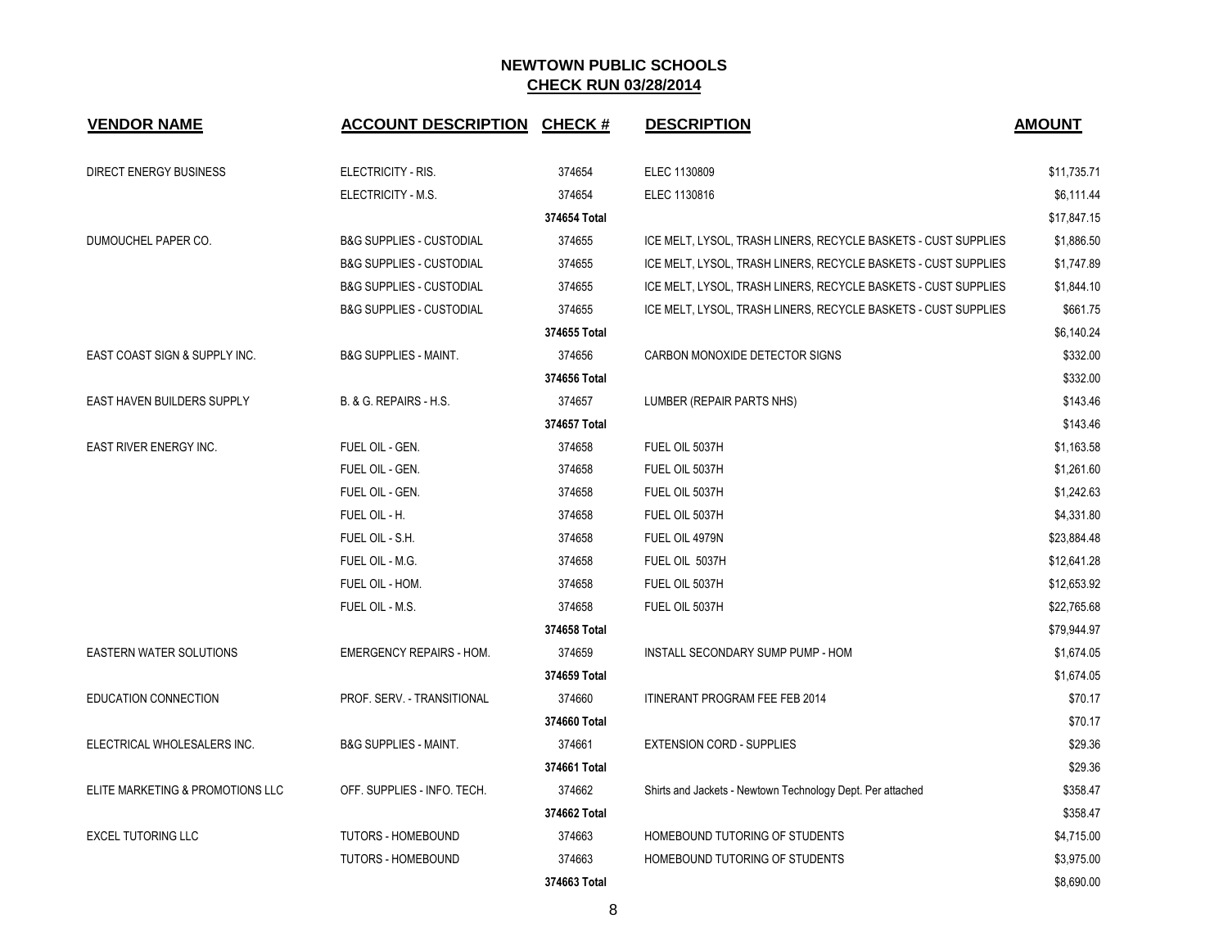| <b>VENDOR NAME</b>                | <b>ACCOUNT DESCRIPTION CHECK #</b>  |              | <b>DESCRIPTION</b>                                             | <b>AMOUNT</b> |
|-----------------------------------|-------------------------------------|--------------|----------------------------------------------------------------|---------------|
| <b>DIRECT ENERGY BUSINESS</b>     | ELECTRICITY - RIS.                  | 374654       | ELEC 1130809                                                   | \$11,735.71   |
|                                   | ELECTRICITY - M.S.                  | 374654       | ELEC 1130816                                                   | \$6,111.44    |
|                                   |                                     | 374654 Total |                                                                | \$17,847.15   |
| DUMOUCHEL PAPER CO.               | <b>B&amp;G SUPPLIES - CUSTODIAL</b> | 374655       | ICE MELT, LYSOL, TRASH LINERS, RECYCLE BASKETS - CUST SUPPLIES | \$1,886.50    |
|                                   | <b>B&amp;G SUPPLIES - CUSTODIAL</b> | 374655       | ICE MELT, LYSOL, TRASH LINERS, RECYCLE BASKETS - CUST SUPPLIES | \$1,747.89    |
|                                   | <b>B&amp;G SUPPLIES - CUSTODIAL</b> | 374655       | ICE MELT, LYSOL, TRASH LINERS, RECYCLE BASKETS - CUST SUPPLIES | \$1,844.10    |
|                                   | <b>B&amp;G SUPPLIES - CUSTODIAL</b> | 374655       | ICE MELT, LYSOL, TRASH LINERS, RECYCLE BASKETS - CUST SUPPLIES | \$661.75      |
|                                   |                                     | 374655 Total |                                                                | \$6,140.24    |
| EAST COAST SIGN & SUPPLY INC.     | <b>B&amp;G SUPPLIES - MAINT.</b>    | 374656       | CARBON MONOXIDE DETECTOR SIGNS                                 | \$332.00      |
|                                   |                                     | 374656 Total |                                                                | \$332.00      |
| <b>EAST HAVEN BUILDERS SUPPLY</b> | <b>B. &amp; G. REPAIRS - H.S.</b>   | 374657       | LUMBER (REPAIR PARTS NHS)                                      | \$143.46      |
|                                   |                                     | 374657 Total |                                                                | \$143.46      |
| EAST RIVER ENERGY INC.            | FUEL OIL - GEN.                     | 374658       | FUEL OIL 5037H                                                 | \$1,163.58    |
|                                   | FUEL OIL - GEN.                     | 374658       | FUEL OIL 5037H                                                 | \$1,261.60    |
|                                   | FUEL OIL - GEN.                     | 374658       | FUEL OIL 5037H                                                 | \$1,242.63    |
|                                   | FUEL OIL - H.                       | 374658       | FUEL OIL 5037H                                                 | \$4,331.80    |
|                                   | FUEL OIL - S.H.                     | 374658       | FUEL OIL 4979N                                                 | \$23,884.48   |
|                                   | FUEL OIL - M.G.                     | 374658       | FUEL OIL 5037H                                                 | \$12,641.28   |
|                                   | FUEL OIL - HOM.                     | 374658       | FUEL OIL 5037H                                                 | \$12,653.92   |
|                                   | FUEL OIL - M.S.                     | 374658       | FUEL OIL 5037H                                                 | \$22,765.68   |
|                                   |                                     | 374658 Total |                                                                | \$79,944.97   |
| <b>EASTERN WATER SOLUTIONS</b>    | <b>EMERGENCY REPAIRS - HOM.</b>     | 374659       | INSTALL SECONDARY SUMP PUMP - HOM                              | \$1,674.05    |
|                                   |                                     | 374659 Total |                                                                | \$1,674.05    |
| EDUCATION CONNECTION              | PROF. SERV. - TRANSITIONAL          | 374660       | <b>ITINERANT PROGRAM FEE FEB 2014</b>                          | \$70.17       |
|                                   |                                     | 374660 Total |                                                                | \$70.17       |
| ELECTRICAL WHOLESALERS INC.       | <b>B&amp;G SUPPLIES - MAINT.</b>    | 374661       | <b>EXTENSION CORD - SUPPLIES</b>                               | \$29.36       |
|                                   |                                     | 374661 Total |                                                                | \$29.36       |
| ELITE MARKETING & PROMOTIONS LLC  | OFF. SUPPLIES - INFO. TECH.         | 374662       | Shirts and Jackets - Newtown Technology Dept. Per attached     | \$358.47      |
|                                   |                                     | 374662 Total |                                                                | \$358.47      |
| <b>EXCEL TUTORING LLC</b>         | TUTORS - HOMEBOUND                  | 374663       | HOMEBOUND TUTORING OF STUDENTS                                 | \$4,715.00    |
|                                   | <b>TUTORS - HOMEBOUND</b>           | 374663       | HOMEBOUND TUTORING OF STUDENTS                                 | \$3,975.00    |
|                                   |                                     | 374663 Total |                                                                | \$8.690.00    |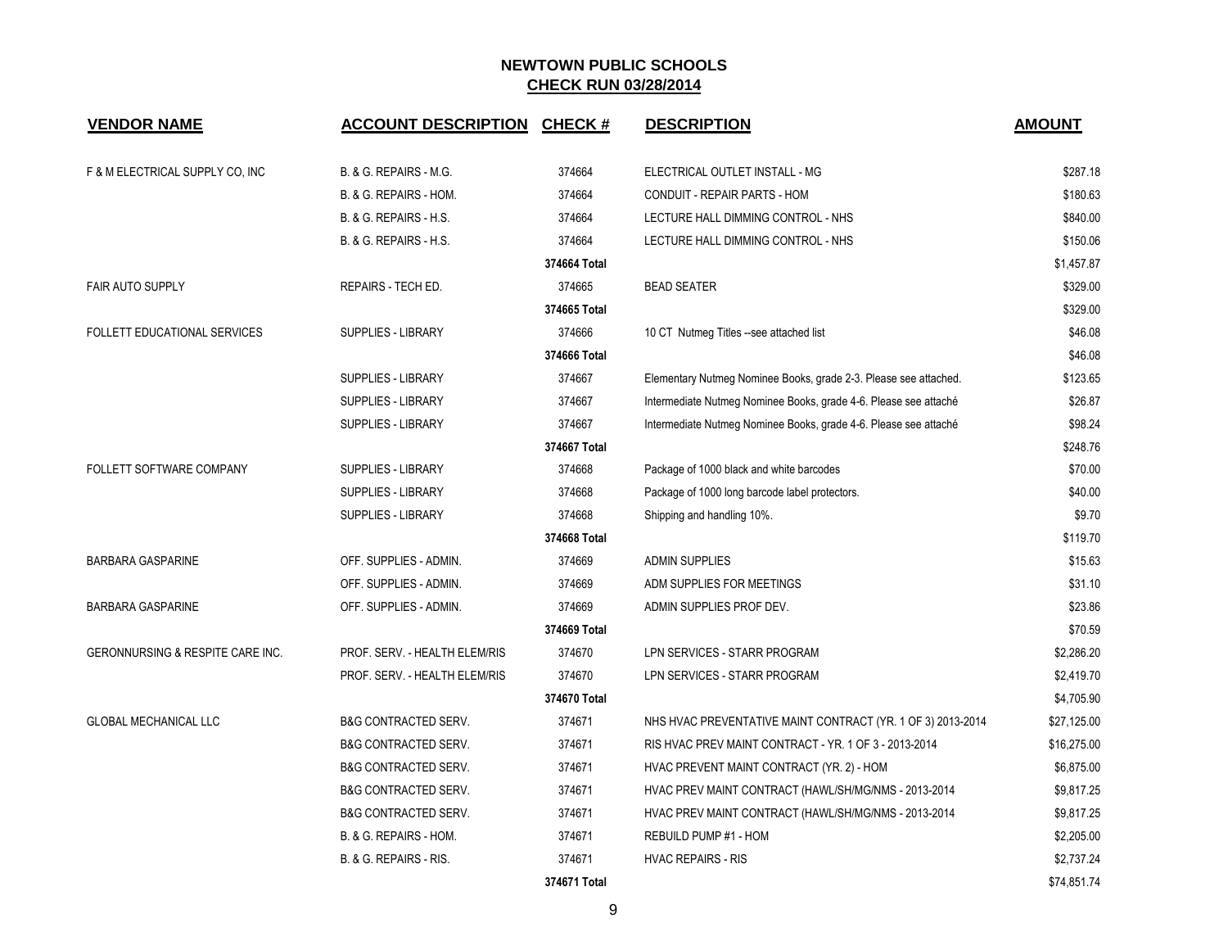| <b>VENDOR NAME</b>               | <b>ACCOUNT DESCRIPTION</b>      | <b>CHECK#</b> | <b>DESCRIPTION</b>                                               | <b>AMOUNT</b> |
|----------------------------------|---------------------------------|---------------|------------------------------------------------------------------|---------------|
| F & M ELECTRICAL SUPPLY CO, INC  | B. & G. REPAIRS - M.G.          | 374664        | ELECTRICAL OUTLET INSTALL - MG                                   | \$287.18      |
|                                  | B. & G. REPAIRS - HOM.          | 374664        | CONDUIT - REPAIR PARTS - HOM                                     | \$180.63      |
|                                  | B. & G. REPAIRS - H.S.          | 374664        | LECTURE HALL DIMMING CONTROL - NHS                               | \$840.00      |
|                                  | B. & G. REPAIRS - H.S.          | 374664        | LECTURE HALL DIMMING CONTROL - NHS                               | \$150.06      |
|                                  |                                 | 374664 Total  |                                                                  | \$1,457.87    |
| <b>FAIR AUTO SUPPLY</b>          | REPAIRS - TECH ED.              | 374665        | <b>BEAD SEATER</b>                                               | \$329.00      |
|                                  |                                 | 374665 Total  |                                                                  | \$329.00      |
| FOLLETT EDUCATIONAL SERVICES     | SUPPLIES - LIBRARY              | 374666        | 10 CT Nutmeg Titles --see attached list                          | \$46.08       |
|                                  |                                 | 374666 Total  |                                                                  | \$46.08       |
|                                  | SUPPLIES - LIBRARY              | 374667        | Elementary Nutmeg Nominee Books, grade 2-3. Please see attached. | \$123.65      |
|                                  | SUPPLIES - LIBRARY              | 374667        | Intermediate Nutmeg Nominee Books, grade 4-6. Please see attaché | \$26.87       |
|                                  | SUPPLIES - LIBRARY              | 374667        | Intermediate Nutmeg Nominee Books, grade 4-6. Please see attaché | \$98.24       |
|                                  |                                 | 374667 Total  |                                                                  | \$248.76      |
| FOLLETT SOFTWARE COMPANY         | SUPPLIES - LIBRARY              | 374668        | Package of 1000 black and white barcodes                         | \$70.00       |
|                                  | SUPPLIES - LIBRARY              | 374668        | Package of 1000 long barcode label protectors.                   | \$40.00       |
|                                  | <b>SUPPLIES - LIBRARY</b>       | 374668        | Shipping and handling 10%.                                       | \$9.70        |
|                                  |                                 | 374668 Total  |                                                                  | \$119.70      |
| <b>BARBARA GASPARINE</b>         | OFF. SUPPLIES - ADMIN.          | 374669        | <b>ADMIN SUPPLIES</b>                                            | \$15.63       |
|                                  | OFF. SUPPLIES - ADMIN.          | 374669        | ADM SUPPLIES FOR MEETINGS                                        | \$31.10       |
| <b>BARBARA GASPARINE</b>         | OFF. SUPPLIES - ADMIN.          | 374669        | ADMIN SUPPLIES PROF DEV.                                         | \$23.86       |
|                                  |                                 | 374669 Total  |                                                                  | \$70.59       |
| GERONNURSING & RESPITE CARE INC. | PROF. SERV. - HEALTH ELEM/RIS   | 374670        | LPN SERVICES - STARR PROGRAM                                     | \$2,286.20    |
|                                  | PROF. SERV. - HEALTH ELEM/RIS   | 374670        | LPN SERVICES - STARR PROGRAM                                     | \$2,419.70    |
|                                  |                                 | 374670 Total  |                                                                  | \$4,705.90    |
| <b>GLOBAL MECHANICAL LLC</b>     | <b>B&amp;G CONTRACTED SERV.</b> | 374671        | NHS HVAC PREVENTATIVE MAINT CONTRACT (YR. 1 OF 3) 2013-2014      | \$27,125.00   |
|                                  | <b>B&amp;G CONTRACTED SERV.</b> | 374671        | RIS HVAC PREV MAINT CONTRACT - YR. 1 OF 3 - 2013-2014            | \$16,275.00   |
|                                  | <b>B&amp;G CONTRACTED SERV.</b> | 374671        | HVAC PREVENT MAINT CONTRACT (YR. 2) - HOM                        | \$6,875.00    |
|                                  | <b>B&amp;G CONTRACTED SERV.</b> | 374671        | HVAC PREV MAINT CONTRACT (HAWL/SH/MG/NMS - 2013-2014             | \$9,817.25    |
|                                  | <b>B&amp;G CONTRACTED SERV.</b> | 374671        | HVAC PREV MAINT CONTRACT (HAWL/SH/MG/NMS - 2013-2014             | \$9,817.25    |
|                                  | B. & G. REPAIRS - HOM.          | 374671        | REBUILD PUMP #1 - HOM                                            | \$2,205.00    |
|                                  | B. & G. REPAIRS - RIS.          | 374671        | <b>HVAC REPAIRS - RIS</b>                                        | \$2,737.24    |
|                                  |                                 | 374671 Total  |                                                                  | \$74,851.74   |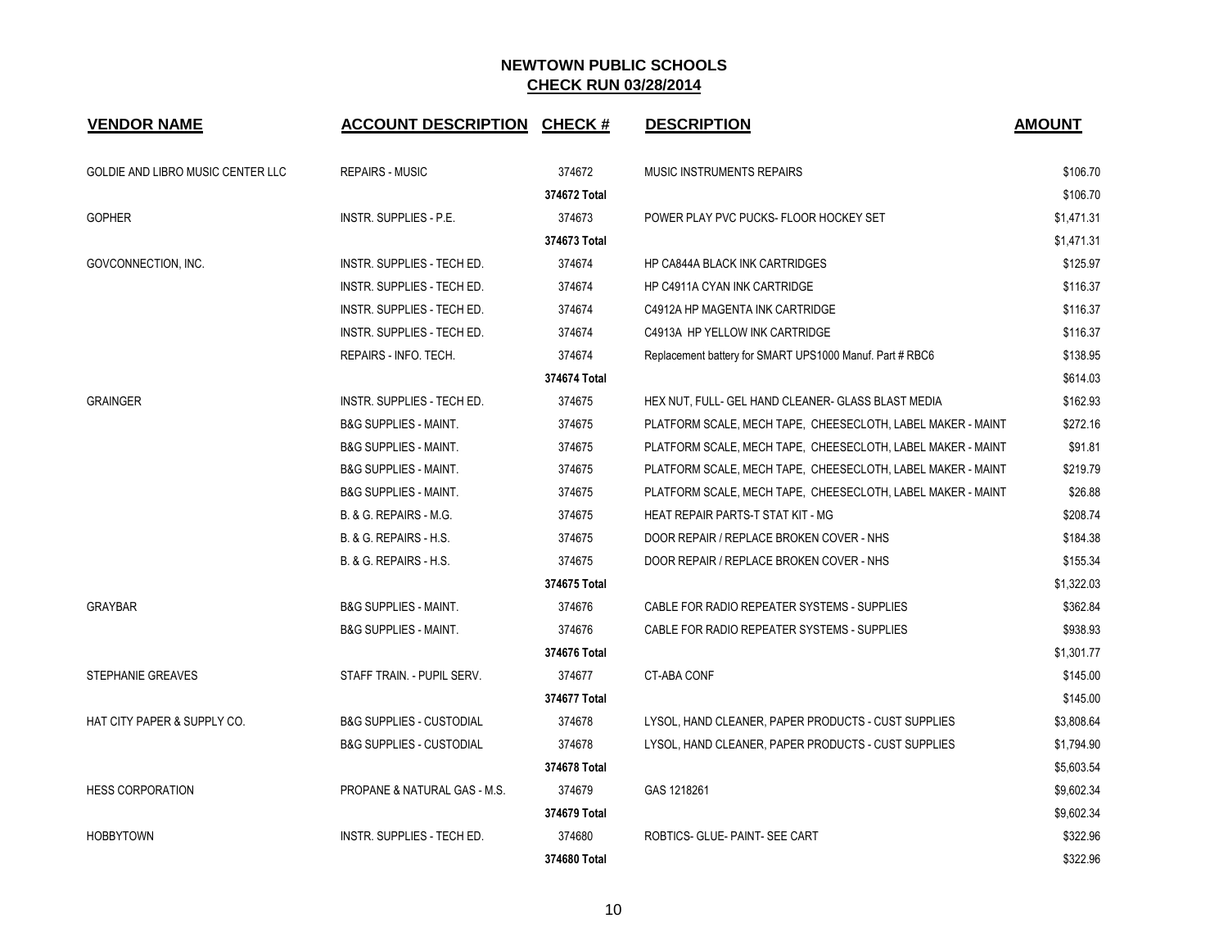| <b>VENDOR NAME</b>                | <b>ACCOUNT DESCRIPTION CHECK #</b>  |              | <b>DESCRIPTION</b>                                          | <b>AMOUNT</b> |
|-----------------------------------|-------------------------------------|--------------|-------------------------------------------------------------|---------------|
| GOLDIE AND LIBRO MUSIC CENTER LLC | <b>REPAIRS - MUSIC</b>              | 374672       | MUSIC INSTRUMENTS REPAIRS                                   | \$106.70      |
|                                   |                                     | 374672 Total |                                                             | \$106.70      |
| <b>GOPHER</b>                     | INSTR. SUPPLIES - P.E.              | 374673       | POWER PLAY PVC PUCKS- FLOOR HOCKEY SET                      | \$1,471.31    |
|                                   |                                     | 374673 Total |                                                             | \$1,471.31    |
| GOVCONNECTION, INC.               | INSTR. SUPPLIES - TECH ED.          | 374674       | HP CA844A BLACK INK CARTRIDGES                              | \$125.97      |
|                                   | INSTR. SUPPLIES - TECH ED.          | 374674       | <b>HP C4911A CYAN INK CARTRIDGE</b>                         | \$116.37      |
|                                   | INSTR. SUPPLIES - TECH ED.          | 374674       | C4912A HP MAGENTA INK CARTRIDGE                             | \$116.37      |
|                                   | INSTR. SUPPLIES - TECH ED.          | 374674       | C4913A HP YELLOW INK CARTRIDGE                              | \$116.37      |
|                                   | REPAIRS - INFO. TECH.               | 374674       | Replacement battery for SMART UPS1000 Manuf. Part # RBC6    | \$138.95      |
|                                   |                                     | 374674 Total |                                                             | \$614.03      |
| <b>GRAINGER</b>                   | INSTR. SUPPLIES - TECH ED.          | 374675       | HEX NUT, FULL- GEL HAND CLEANER- GLASS BLAST MEDIA          | \$162.93      |
|                                   | <b>B&amp;G SUPPLIES - MAINT.</b>    | 374675       | PLATFORM SCALE, MECH TAPE, CHEESECLOTH, LABEL MAKER - MAINT | \$272.16      |
|                                   | <b>B&amp;G SUPPLIES - MAINT.</b>    | 374675       | PLATFORM SCALE, MECH TAPE, CHEESECLOTH, LABEL MAKER - MAINT | \$91.81       |
|                                   | <b>B&amp;G SUPPLIES - MAINT.</b>    | 374675       | PLATFORM SCALE, MECH TAPE, CHEESECLOTH, LABEL MAKER - MAINT | \$219.79      |
|                                   | <b>B&amp;G SUPPLIES - MAINT.</b>    | 374675       | PLATFORM SCALE, MECH TAPE, CHEESECLOTH, LABEL MAKER - MAINT | \$26.88       |
|                                   | B. & G. REPAIRS - M.G.              | 374675       | HEAT REPAIR PARTS-T STAT KIT - MG                           | \$208.74      |
|                                   | <b>B. &amp; G. REPAIRS - H.S.</b>   | 374675       | DOOR REPAIR / REPLACE BROKEN COVER - NHS                    | \$184.38      |
|                                   | <b>B. &amp; G. REPAIRS - H.S.</b>   | 374675       | DOOR REPAIR / REPLACE BROKEN COVER - NHS                    | \$155.34      |
|                                   |                                     | 374675 Total |                                                             | \$1,322.03    |
| <b>GRAYBAR</b>                    | <b>B&amp;G SUPPLIES - MAINT.</b>    | 374676       | CABLE FOR RADIO REPEATER SYSTEMS - SUPPLIES                 | \$362.84      |
|                                   | <b>B&amp;G SUPPLIES - MAINT.</b>    | 374676       | CABLE FOR RADIO REPEATER SYSTEMS - SUPPLIES                 | \$938.93      |
|                                   |                                     | 374676 Total |                                                             | \$1,301.77    |
| <b>STEPHANIE GREAVES</b>          | STAFF TRAIN. - PUPIL SERV.          | 374677       | <b>CT-ABA CONF</b>                                          | \$145.00      |
|                                   |                                     | 374677 Total |                                                             | \$145.00      |
| HAT CITY PAPER & SUPPLY CO.       | <b>B&amp;G SUPPLIES - CUSTODIAL</b> | 374678       | LYSOL, HAND CLEANER, PAPER PRODUCTS - CUST SUPPLIES         | \$3,808.64    |
|                                   | <b>B&amp;G SUPPLIES - CUSTODIAL</b> | 374678       | LYSOL, HAND CLEANER, PAPER PRODUCTS - CUST SUPPLIES         | \$1,794.90    |
|                                   |                                     | 374678 Total |                                                             | \$5,603.54    |
| <b>HESS CORPORATION</b>           | PROPANE & NATURAL GAS - M.S.        | 374679       | GAS 1218261                                                 | \$9,602.34    |
|                                   |                                     | 374679 Total |                                                             | \$9,602.34    |
| <b>HOBBYTOWN</b>                  | INSTR. SUPPLIES - TECH ED.          | 374680       | ROBTICS- GLUE- PAINT- SEE CART                              | \$322.96      |
|                                   |                                     | 374680 Total |                                                             | \$322.96      |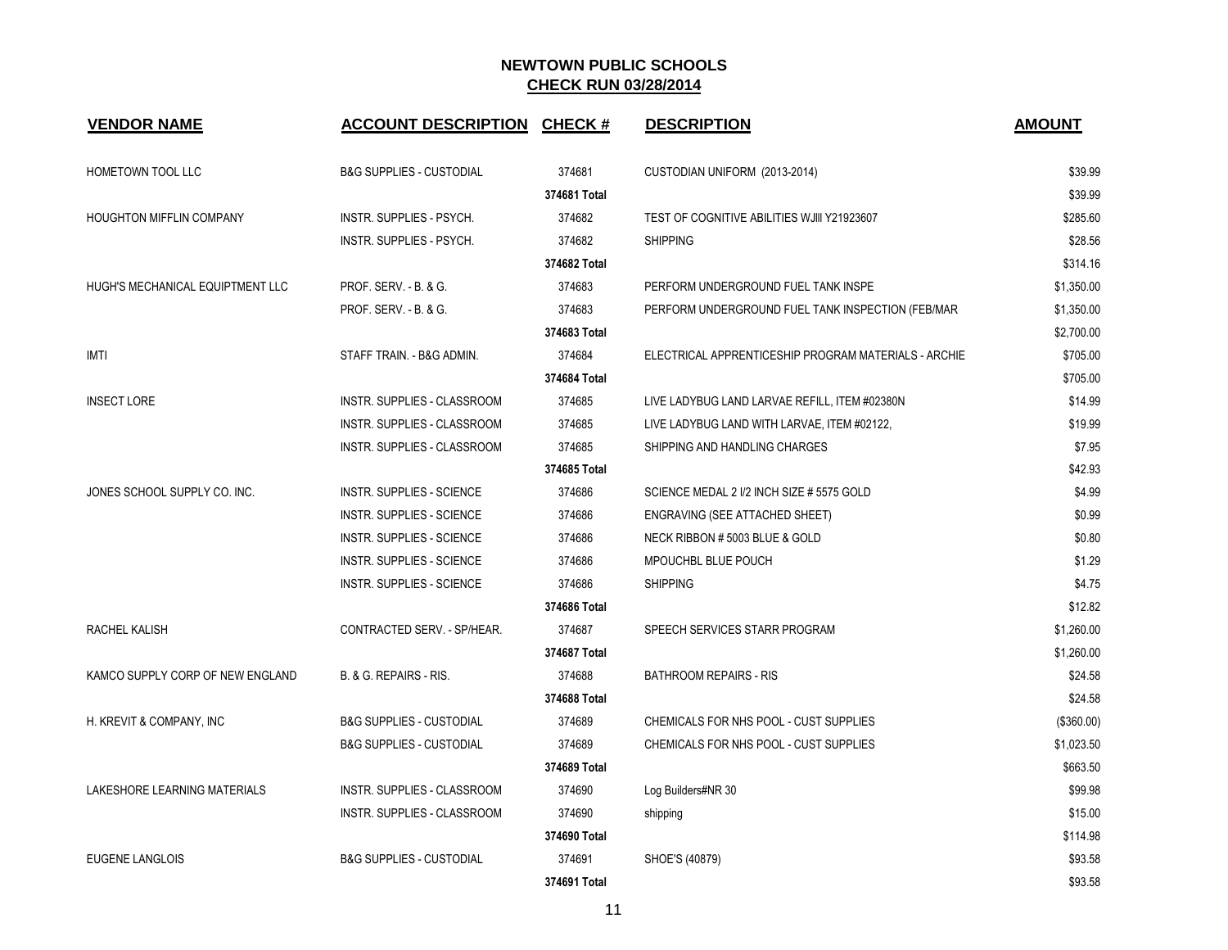| <b>VENDOR NAME</b>               | <b>ACCOUNT DESCRIPTION</b>          | <b>CHECK#</b> | <b>DESCRIPTION</b>                                   | <b>AMOUNT</b> |
|----------------------------------|-------------------------------------|---------------|------------------------------------------------------|---------------|
| HOMETOWN TOOL LLC                | <b>B&amp;G SUPPLIES - CUSTODIAL</b> | 374681        | CUSTODIAN UNIFORM (2013-2014)                        | \$39.99       |
|                                  |                                     | 374681 Total  |                                                      | \$39.99       |
| HOUGHTON MIFFLIN COMPANY         | INSTR. SUPPLIES - PSYCH.            | 374682        | TEST OF COGNITIVE ABILITIES WJIII Y21923607          | \$285.60      |
|                                  | INSTR. SUPPLIES - PSYCH.            | 374682        | <b>SHIPPING</b>                                      | \$28.56       |
|                                  |                                     | 374682 Total  |                                                      | \$314.16      |
| HUGH'S MECHANICAL EQUIPTMENT LLC | PROF. SERV. - B. & G.               | 374683        | PERFORM UNDERGROUND FUEL TANK INSPE                  | \$1,350.00    |
|                                  | PROF. SERV. - B. & G.               | 374683        | PERFORM UNDERGROUND FUEL TANK INSPECTION (FEB/MAR    | \$1,350.00    |
|                                  |                                     | 374683 Total  |                                                      | \$2,700.00    |
| <b>IMTI</b>                      | STAFF TRAIN. - B&G ADMIN.           | 374684        | ELECTRICAL APPRENTICESHIP PROGRAM MATERIALS - ARCHIE | \$705.00      |
|                                  |                                     | 374684 Total  |                                                      | \$705.00      |
| <b>INSECT LORE</b>               | <b>INSTR. SUPPLIES - CLASSROOM</b>  | 374685        | LIVE LADYBUG LAND LARVAE REFILL, ITEM #02380N        | \$14.99       |
|                                  | INSTR. SUPPLIES - CLASSROOM         | 374685        | LIVE LADYBUG LAND WITH LARVAE, ITEM #02122,          | \$19.99       |
|                                  | INSTR. SUPPLIES - CLASSROOM         | 374685        | SHIPPING AND HANDLING CHARGES                        | \$7.95        |
|                                  |                                     | 374685 Total  |                                                      | \$42.93       |
| JONES SCHOOL SUPPLY CO. INC.     | <b>INSTR. SUPPLIES - SCIENCE</b>    | 374686        | SCIENCE MEDAL 2 1/2 INCH SIZE # 5575 GOLD            | \$4.99        |
|                                  | <b>INSTR. SUPPLIES - SCIENCE</b>    | 374686        | ENGRAVING (SEE ATTACHED SHEET)                       | \$0.99        |
|                                  | <b>INSTR. SUPPLIES - SCIENCE</b>    | 374686        | NECK RIBBON # 5003 BLUE & GOLD                       | \$0.80        |
|                                  | <b>INSTR. SUPPLIES - SCIENCE</b>    | 374686        | MPOUCHBL BLUE POUCH                                  | \$1.29        |
|                                  | <b>INSTR. SUPPLIES - SCIENCE</b>    | 374686        | <b>SHIPPING</b>                                      | \$4.75        |
|                                  |                                     | 374686 Total  |                                                      | \$12.82       |
| RACHEL KALISH                    | CONTRACTED SERV. - SP/HEAR.         | 374687        | SPEECH SERVICES STARR PROGRAM                        | \$1,260.00    |
|                                  |                                     | 374687 Total  |                                                      | \$1,260.00    |
| KAMCO SUPPLY CORP OF NEW ENGLAND | B. & G. REPAIRS - RIS.              | 374688        | <b>BATHROOM REPAIRS - RIS</b>                        | \$24.58       |
|                                  |                                     | 374688 Total  |                                                      | \$24.58       |
| H. KREVIT & COMPANY, INC         | <b>B&amp;G SUPPLIES - CUSTODIAL</b> | 374689        | CHEMICALS FOR NHS POOL - CUST SUPPLIES               | (\$360.00)    |
|                                  | <b>B&amp;G SUPPLIES - CUSTODIAL</b> | 374689        | CHEMICALS FOR NHS POOL - CUST SUPPLIES               | \$1,023.50    |
|                                  |                                     | 374689 Total  |                                                      | \$663.50      |
| LAKESHORE LEARNING MATERIALS     | <b>INSTR. SUPPLIES - CLASSROOM</b>  | 374690        | Log Builders#NR 30                                   | \$99.98       |
|                                  | <b>INSTR. SUPPLIES - CLASSROOM</b>  | 374690        | shipping                                             | \$15.00       |
|                                  |                                     | 374690 Total  |                                                      | \$114.98      |
| <b>EUGENE LANGLOIS</b>           | <b>B&amp;G SUPPLIES - CUSTODIAL</b> | 374691        | SHOE'S (40879)                                       | \$93.58       |
|                                  |                                     | 374691 Total  |                                                      | \$93.58       |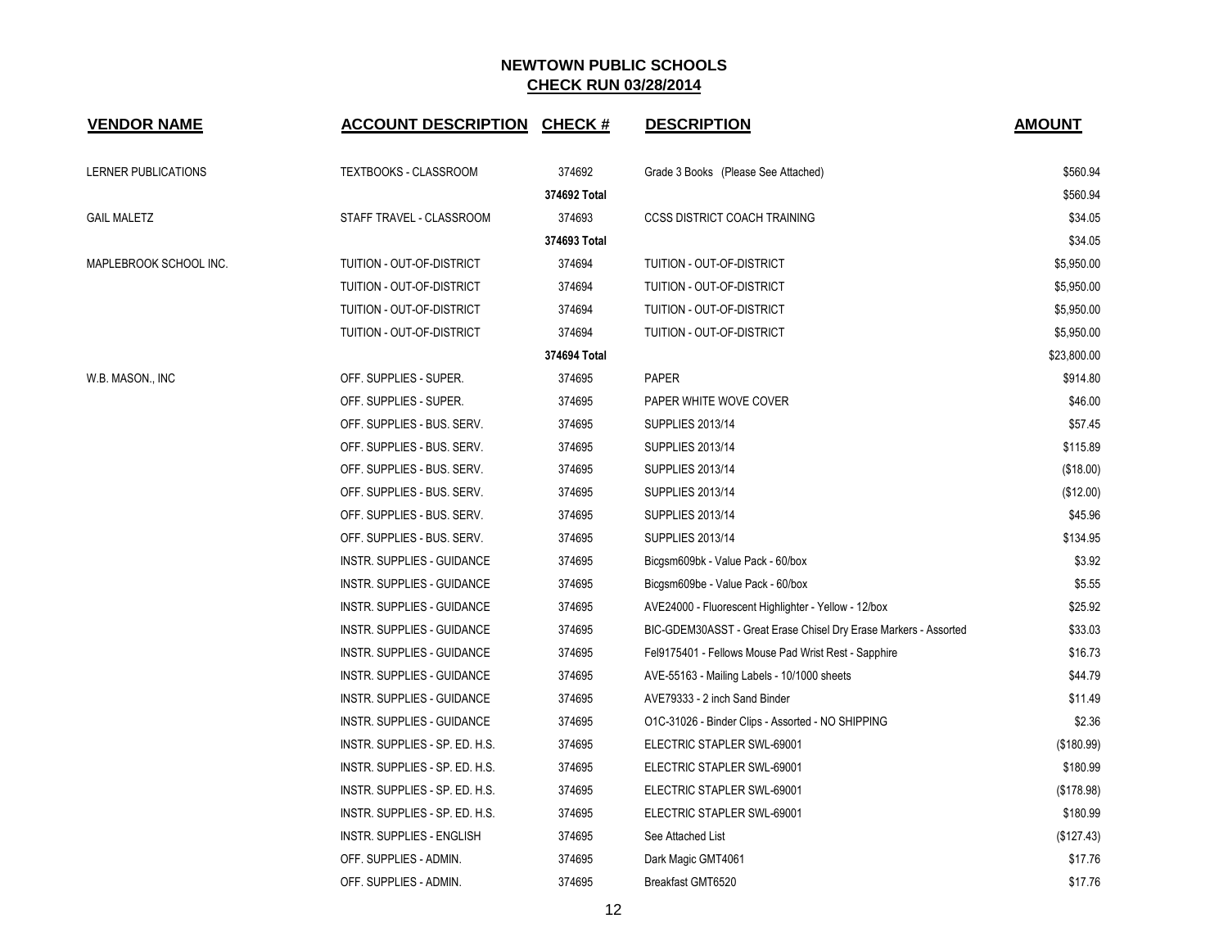| <b>VENDOR NAME</b>     | <b>ACCOUNT DESCRIPTION CHECK #</b> |              | <b>DESCRIPTION</b>                                               | <b>AMOUNT</b> |
|------------------------|------------------------------------|--------------|------------------------------------------------------------------|---------------|
| LERNER PUBLICATIONS    | TEXTBOOKS - CLASSROOM              | 374692       | Grade 3 Books (Please See Attached)                              | \$560.94      |
|                        |                                    | 374692 Total |                                                                  | \$560.94      |
| <b>GAIL MALETZ</b>     | STAFF TRAVEL - CLASSROOM           | 374693       | <b>CCSS DISTRICT COACH TRAINING</b>                              | \$34.05       |
|                        |                                    | 374693 Total |                                                                  | \$34.05       |
| MAPLEBROOK SCHOOL INC. | TUITION - OUT-OF-DISTRICT          | 374694       | TUITION - OUT-OF-DISTRICT                                        | \$5,950.00    |
|                        | TUITION - OUT-OF-DISTRICT          | 374694       | TUITION - OUT-OF-DISTRICT                                        | \$5,950.00    |
|                        | TUITION - OUT-OF-DISTRICT          | 374694       | TUITION - OUT-OF-DISTRICT                                        | \$5,950.00    |
|                        | TUITION - OUT-OF-DISTRICT          | 374694       | TUITION - OUT-OF-DISTRICT                                        | \$5,950.00    |
|                        |                                    | 374694 Total |                                                                  | \$23,800.00   |
| W.B. MASON., INC       | OFF. SUPPLIES - SUPER.             | 374695       | <b>PAPER</b>                                                     | \$914.80      |
|                        | OFF. SUPPLIES - SUPER.             | 374695       | PAPER WHITE WOVE COVER                                           | \$46.00       |
|                        | OFF. SUPPLIES - BUS. SERV.         | 374695       | <b>SUPPLIES 2013/14</b>                                          | \$57.45       |
|                        | OFF. SUPPLIES - BUS. SERV.         | 374695       | <b>SUPPLIES 2013/14</b>                                          | \$115.89      |
|                        | OFF. SUPPLIES - BUS. SERV.         | 374695       | <b>SUPPLIES 2013/14</b>                                          | (\$18.00)     |
|                        | OFF. SUPPLIES - BUS. SERV.         | 374695       | <b>SUPPLIES 2013/14</b>                                          | (\$12.00)     |
|                        | OFF. SUPPLIES - BUS. SERV.         | 374695       | <b>SUPPLIES 2013/14</b>                                          | \$45.96       |
|                        | OFF. SUPPLIES - BUS. SERV.         | 374695       | <b>SUPPLIES 2013/14</b>                                          | \$134.95      |
|                        | INSTR. SUPPLIES - GUIDANCE         | 374695       | Bicgsm609bk - Value Pack - 60/box                                | \$3.92        |
|                        | INSTR. SUPPLIES - GUIDANCE         | 374695       | Bicgsm609be - Value Pack - 60/box                                | \$5.55        |
|                        | INSTR. SUPPLIES - GUIDANCE         | 374695       | AVE24000 - Fluorescent Highlighter - Yellow - 12/box             | \$25.92       |
|                        | INSTR. SUPPLIES - GUIDANCE         | 374695       | BIC-GDEM30ASST - Great Erase Chisel Dry Erase Markers - Assorted | \$33.03       |
|                        | INSTR. SUPPLIES - GUIDANCE         | 374695       | Fel9175401 - Fellows Mouse Pad Wrist Rest - Sapphire             | \$16.73       |
|                        | INSTR. SUPPLIES - GUIDANCE         | 374695       | AVE-55163 - Mailing Labels - 10/1000 sheets                      | \$44.79       |
|                        | INSTR. SUPPLIES - GUIDANCE         | 374695       | AVE79333 - 2 inch Sand Binder                                    | \$11.49       |
|                        | INSTR. SUPPLIES - GUIDANCE         | 374695       | O1C-31026 - Binder Clips - Assorted - NO SHIPPING                | \$2.36        |
|                        | INSTR. SUPPLIES - SP. ED. H.S.     | 374695       | ELECTRIC STAPLER SWL-69001                                       | (\$180.99)    |
|                        | INSTR. SUPPLIES - SP. ED. H.S.     | 374695       | ELECTRIC STAPLER SWL-69001                                       | \$180.99      |
|                        | INSTR. SUPPLIES - SP. ED. H.S.     | 374695       | ELECTRIC STAPLER SWL-69001                                       | (\$178.98)    |
|                        | INSTR. SUPPLIES - SP. ED. H.S.     | 374695       | ELECTRIC STAPLER SWL-69001                                       | \$180.99      |
|                        | INSTR. SUPPLIES - ENGLISH          | 374695       | See Attached List                                                | (\$127.43)    |
|                        | OFF. SUPPLIES - ADMIN.             | 374695       | Dark Magic GMT4061                                               | \$17.76       |
|                        | OFF. SUPPLIES - ADMIN.             | 374695       | Breakfast GMT6520                                                | \$17.76       |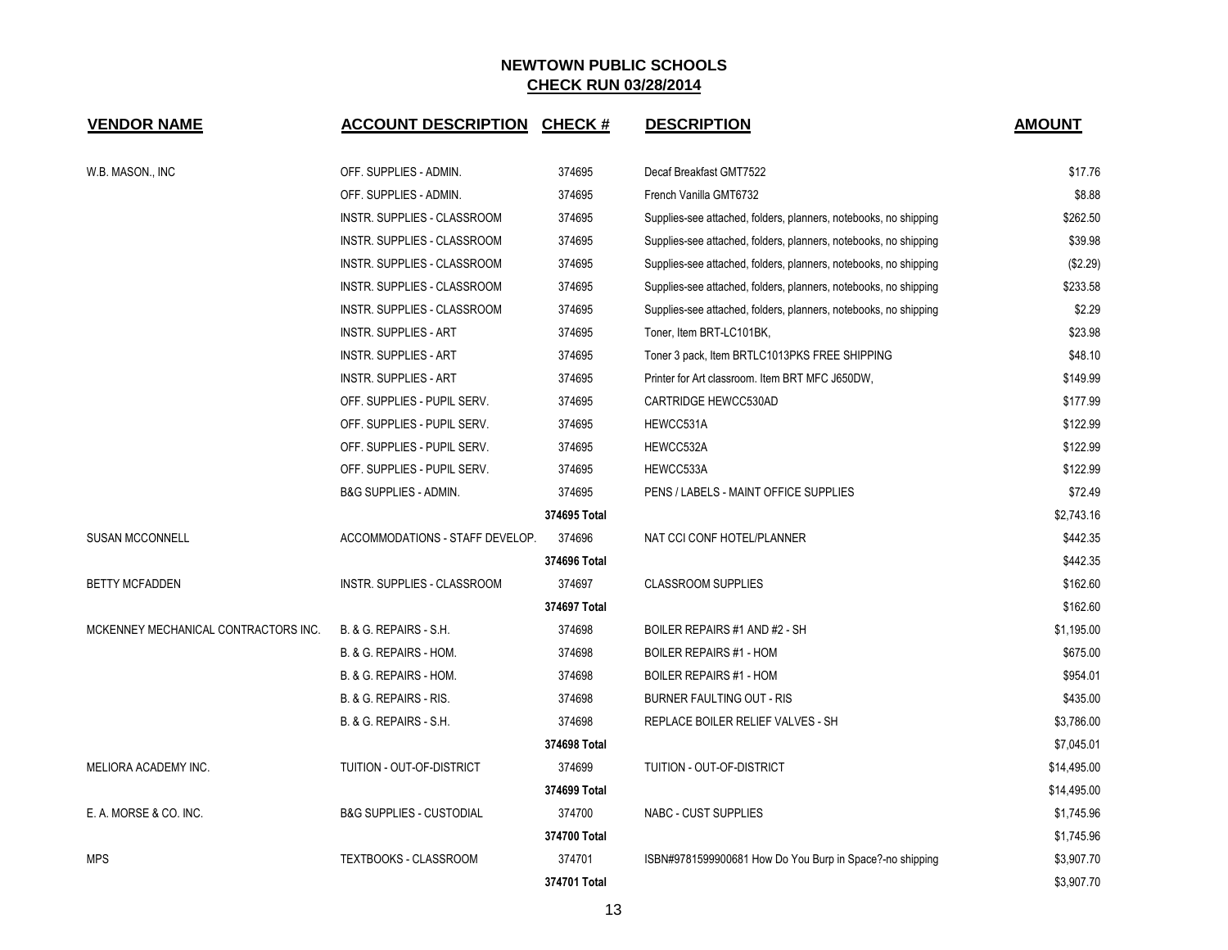| <b>VENDOR NAME</b>                   | <b>ACCOUNT DESCRIPTION CHECK #</b>  |              | <b>DESCRIPTION</b>                                               | <b>AMOUNT</b> |
|--------------------------------------|-------------------------------------|--------------|------------------------------------------------------------------|---------------|
| W.B. MASON., INC                     | OFF. SUPPLIES - ADMIN.              | 374695       | Decaf Breakfast GMT7522                                          | \$17.76       |
|                                      | OFF. SUPPLIES - ADMIN.              | 374695       | French Vanilla GMT6732                                           | \$8.88        |
|                                      | INSTR. SUPPLIES - CLASSROOM         | 374695       | Supplies-see attached, folders, planners, notebooks, no shipping | \$262.50      |
|                                      | INSTR. SUPPLIES - CLASSROOM         | 374695       | Supplies-see attached, folders, planners, notebooks, no shipping | \$39.98       |
|                                      | INSTR. SUPPLIES - CLASSROOM         | 374695       | Supplies-see attached, folders, planners, notebooks, no shipping | (\$2.29)      |
|                                      | INSTR. SUPPLIES - CLASSROOM         | 374695       | Supplies-see attached, folders, planners, notebooks, no shipping | \$233.58      |
|                                      | INSTR. SUPPLIES - CLASSROOM         | 374695       | Supplies-see attached, folders, planners, notebooks, no shipping | \$2.29        |
|                                      | <b>INSTR. SUPPLIES - ART</b>        | 374695       | Toner, Item BRT-LC101BK,                                         | \$23.98       |
|                                      | <b>INSTR. SUPPLIES - ART</b>        | 374695       | Toner 3 pack, Item BRTLC1013PKS FREE SHIPPING                    | \$48.10       |
|                                      | <b>INSTR. SUPPLIES - ART</b>        | 374695       | Printer for Art classroom. Item BRT MFC J650DW,                  | \$149.99      |
|                                      | OFF. SUPPLIES - PUPIL SERV.         | 374695       | CARTRIDGE HEWCC530AD                                             | \$177.99      |
|                                      | OFF. SUPPLIES - PUPIL SERV.         | 374695       | HEWCC531A                                                        | \$122.99      |
|                                      | OFF. SUPPLIES - PUPIL SERV.         | 374695       | HEWCC532A                                                        | \$122.99      |
|                                      | OFF. SUPPLIES - PUPIL SERV.         | 374695       | HEWCC533A                                                        | \$122.99      |
|                                      | <b>B&amp;G SUPPLIES - ADMIN.</b>    | 374695       | PENS / LABELS - MAINT OFFICE SUPPLIES                            | \$72.49       |
|                                      |                                     | 374695 Total |                                                                  | \$2,743.16    |
| <b>SUSAN MCCONNELL</b>               | ACCOMMODATIONS - STAFF DEVELOP.     | 374696       | NAT CCI CONF HOTEL/PLANNER                                       | \$442.35      |
|                                      |                                     | 374696 Total |                                                                  | \$442.35      |
| <b>BETTY MCFADDEN</b>                | INSTR. SUPPLIES - CLASSROOM         | 374697       | <b>CLASSROOM SUPPLIES</b>                                        | \$162.60      |
|                                      |                                     | 374697 Total |                                                                  | \$162.60      |
| MCKENNEY MECHANICAL CONTRACTORS INC. | <b>B. &amp; G. REPAIRS - S.H.</b>   | 374698       | BOILER REPAIRS #1 AND #2 - SH                                    | \$1,195.00    |
|                                      | B. & G. REPAIRS - HOM.              | 374698       | <b>BOILER REPAIRS #1 - HOM</b>                                   | \$675.00      |
|                                      | B. & G. REPAIRS - HOM.              | 374698       | <b>BOILER REPAIRS #1 - HOM</b>                                   | \$954.01      |
|                                      | B. & G. REPAIRS - RIS.              | 374698       | BURNER FAULTING OUT - RIS                                        | \$435.00      |
|                                      | B. & G. REPAIRS - S.H.              | 374698       | REPLACE BOILER RELIEF VALVES - SH                                | \$3,786.00    |
|                                      |                                     | 374698 Total |                                                                  | \$7,045.01    |
| MELIORA ACADEMY INC.                 | TUITION - OUT-OF-DISTRICT           | 374699       | TUITION - OUT-OF-DISTRICT                                        | \$14,495.00   |
|                                      |                                     | 374699 Total |                                                                  | \$14,495.00   |
| E. A. MORSE & CO. INC.               | <b>B&amp;G SUPPLIES - CUSTODIAL</b> | 374700       | NABC - CUST SUPPLIES                                             | \$1,745.96    |
|                                      |                                     | 374700 Total |                                                                  | \$1,745.96    |
| <b>MPS</b>                           | TEXTBOOKS - CLASSROOM               | 374701       | ISBN#9781599900681 How Do You Burp in Space?-no shipping         | \$3,907.70    |
|                                      |                                     | 374701 Total |                                                                  | \$3,907.70    |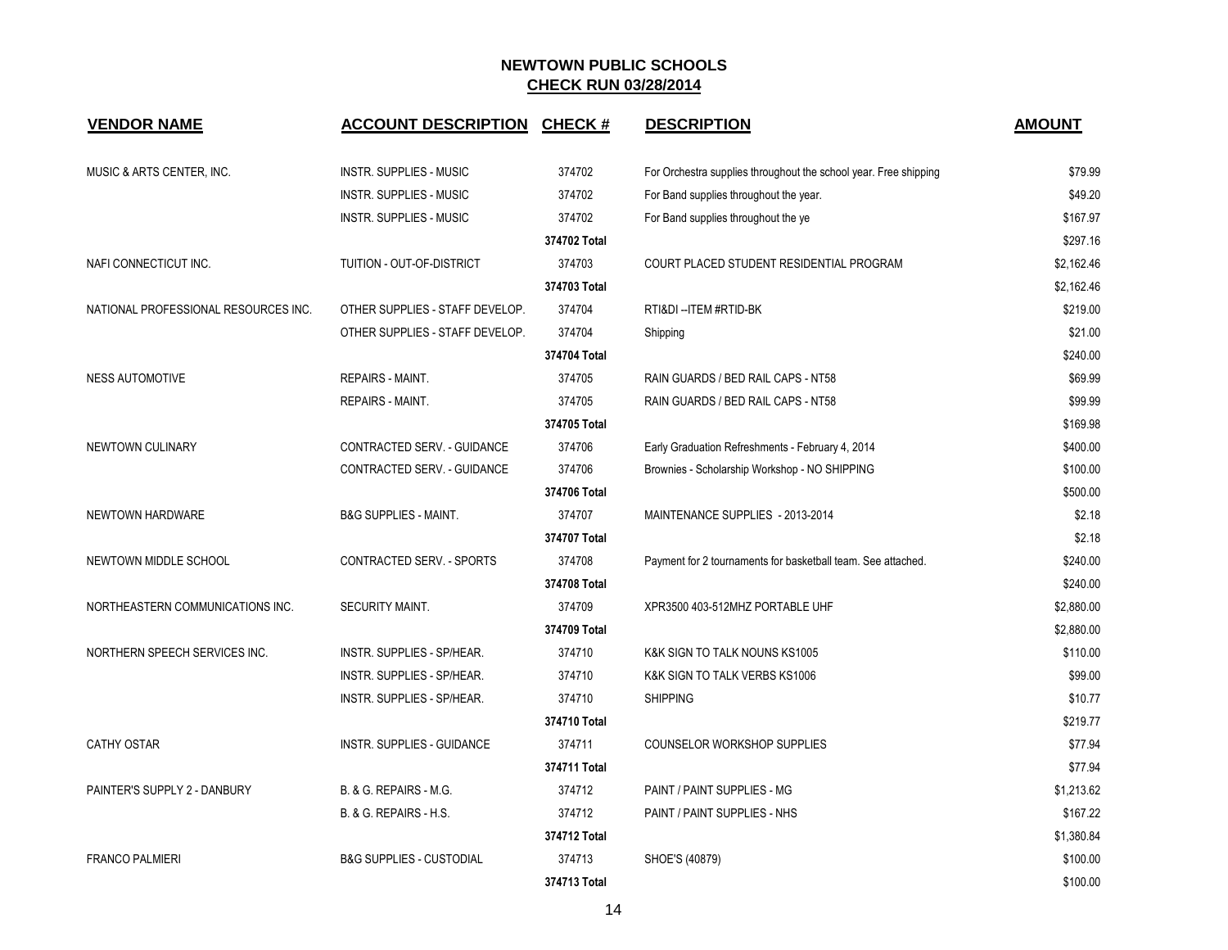| <b>VENDOR NAME</b>                   | <b>ACCOUNT DESCRIPTION</b>          | CHECK#       | <b>DESCRIPTION</b>                                               | <b>AMOUNT</b> |
|--------------------------------------|-------------------------------------|--------------|------------------------------------------------------------------|---------------|
| MUSIC & ARTS CENTER, INC.            | <b>INSTR. SUPPLIES - MUSIC</b>      | 374702       | For Orchestra supplies throughout the school year. Free shipping | \$79.99       |
|                                      | INSTR. SUPPLIES - MUSIC             | 374702       | For Band supplies throughout the year.                           | \$49.20       |
|                                      | INSTR. SUPPLIES - MUSIC             | 374702       | For Band supplies throughout the ye                              | \$167.97      |
|                                      |                                     | 374702 Total |                                                                  | \$297.16      |
| NAFI CONNECTICUT INC.                | TUITION - OUT-OF-DISTRICT           | 374703       | COURT PLACED STUDENT RESIDENTIAL PROGRAM                         | \$2,162.46    |
|                                      |                                     | 374703 Total |                                                                  | \$2,162.46    |
| NATIONAL PROFESSIONAL RESOURCES INC. | OTHER SUPPLIES - STAFF DEVELOP.     | 374704       | RTI&DI--ITEM #RTID-BK                                            | \$219.00      |
|                                      | OTHER SUPPLIES - STAFF DEVELOP.     | 374704       | Shipping                                                         | \$21.00       |
|                                      |                                     | 374704 Total |                                                                  | \$240.00      |
| NESS AUTOMOTIVE                      | <b>REPAIRS - MAINT.</b>             | 374705       | RAIN GUARDS / BED RAIL CAPS - NT58                               | \$69.99       |
|                                      | REPAIRS - MAINT.                    | 374705       | RAIN GUARDS / BED RAIL CAPS - NT58                               | \$99.99       |
|                                      |                                     | 374705 Total |                                                                  | \$169.98      |
| NEWTOWN CULINARY                     | CONTRACTED SERV. - GUIDANCE         | 374706       | Early Graduation Refreshments - February 4, 2014                 | \$400.00      |
|                                      | CONTRACTED SERV. - GUIDANCE         | 374706       | Brownies - Scholarship Workshop - NO SHIPPING                    | \$100.00      |
|                                      |                                     | 374706 Total |                                                                  | \$500.00      |
| NEWTOWN HARDWARE                     | <b>B&amp;G SUPPLIES - MAINT.</b>    | 374707       | MAINTENANCE SUPPLIES - 2013-2014                                 | \$2.18        |
|                                      |                                     | 374707 Total |                                                                  | \$2.18        |
| NEWTOWN MIDDLE SCHOOL                | <b>CONTRACTED SERV. - SPORTS</b>    | 374708       | Payment for 2 tournaments for basketball team. See attached.     | \$240.00      |
|                                      |                                     | 374708 Total |                                                                  | \$240.00      |
| NORTHEASTERN COMMUNICATIONS INC.     | SECURITY MAINT.                     | 374709       | XPR3500 403-512MHZ PORTABLE UHF                                  | \$2,880.00    |
|                                      |                                     | 374709 Total |                                                                  | \$2,880.00    |
| NORTHERN SPEECH SERVICES INC.        | INSTR. SUPPLIES - SP/HEAR.          | 374710       | K&K SIGN TO TALK NOUNS KS1005                                    | \$110.00      |
|                                      | INSTR. SUPPLIES - SP/HEAR.          | 374710       | K&K SIGN TO TALK VERBS KS1006                                    | \$99.00       |
|                                      | INSTR. SUPPLIES - SP/HEAR.          | 374710       | <b>SHIPPING</b>                                                  | \$10.77       |
|                                      |                                     | 374710 Total |                                                                  | \$219.77      |
| <b>CATHY OSTAR</b>                   | INSTR. SUPPLIES - GUIDANCE          | 374711       | COUNSELOR WORKSHOP SUPPLIES                                      | \$77.94       |
|                                      |                                     | 374711 Total |                                                                  | \$77.94       |
| PAINTER'S SUPPLY 2 - DANBURY         | B. & G. REPAIRS - M.G.              | 374712       | PAINT / PAINT SUPPLIES - MG                                      | \$1,213.62    |
|                                      | B. & G. REPAIRS - H.S.              | 374712       | PAINT / PAINT SUPPLIES - NHS                                     | \$167.22      |
|                                      |                                     | 374712 Total |                                                                  | \$1,380.84    |
| <b>FRANCO PALMIERI</b>               | <b>B&amp;G SUPPLIES - CUSTODIAL</b> | 374713       | SHOE'S (40879)                                                   | \$100.00      |
|                                      |                                     | 374713 Total |                                                                  | \$100.00      |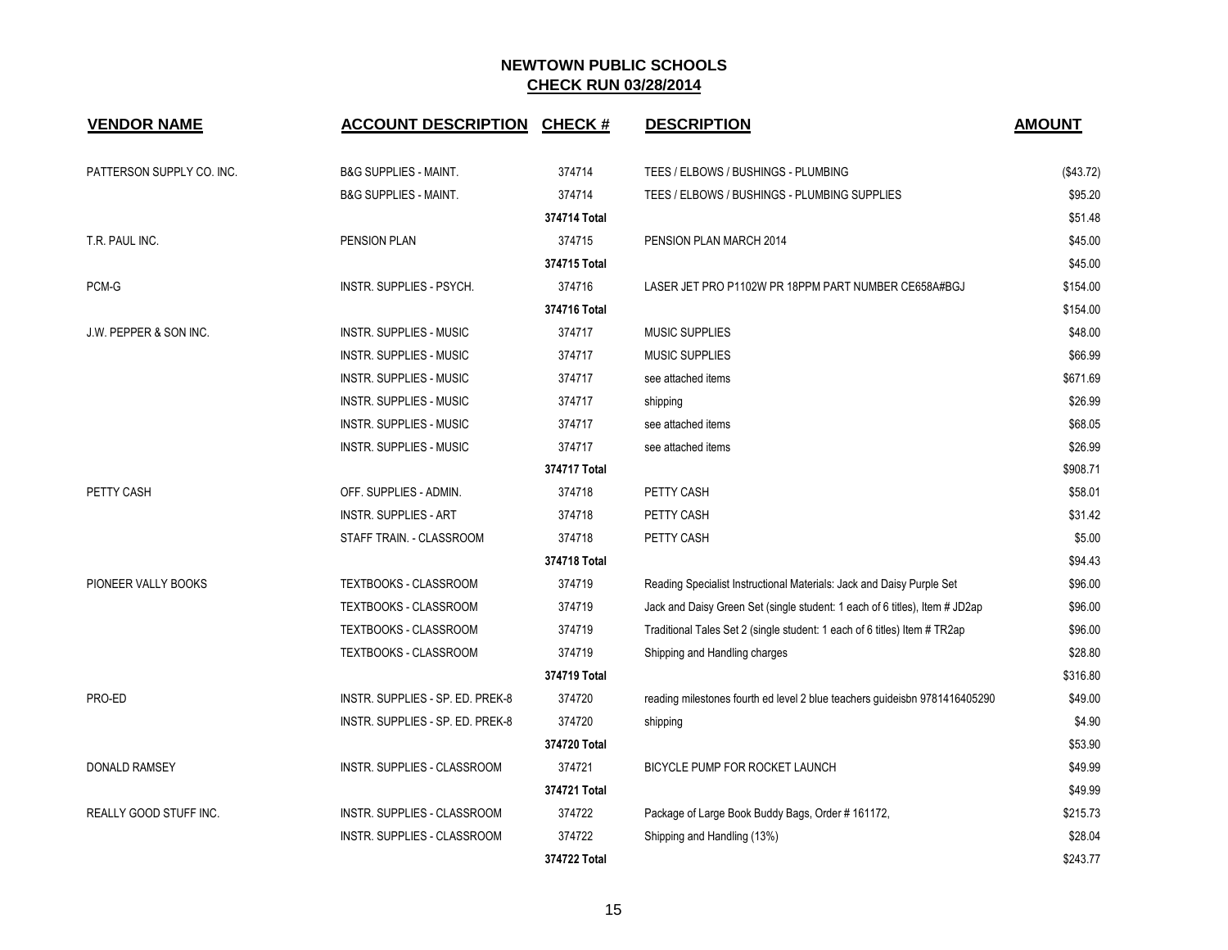| <b>VENDOR NAME</b>                | <b>ACCOUNT DESCRIPTION</b>         | <b>CHECK#</b> | <b>DESCRIPTION</b>                                                          | <b>AMOUNT</b> |
|-----------------------------------|------------------------------------|---------------|-----------------------------------------------------------------------------|---------------|
| PATTERSON SUPPLY CO. INC.         | <b>B&amp;G SUPPLIES - MAINT.</b>   | 374714        | TEES / ELBOWS / BUSHINGS - PLUMBING                                         | (\$43.72)     |
|                                   | <b>B&amp;G SUPPLIES - MAINT.</b>   | 374714        | TEES / ELBOWS / BUSHINGS - PLUMBING SUPPLIES                                | \$95.20       |
|                                   |                                    | 374714 Total  |                                                                             | \$51.48       |
| T.R. PAUL INC.                    | PENSION PLAN                       | 374715        | PENSION PLAN MARCH 2014                                                     | \$45.00       |
|                                   |                                    | 374715 Total  |                                                                             | \$45.00       |
| PCM-G                             | INSTR. SUPPLIES - PSYCH.           | 374716        | LASER JET PRO P1102W PR 18PPM PART NUMBER CE658A#BGJ                        | \$154.00      |
|                                   |                                    | 374716 Total  |                                                                             | \$154.00      |
| <b>J.W. PEPPER &amp; SON INC.</b> | INSTR. SUPPLIES - MUSIC            | 374717        | <b>MUSIC SUPPLIES</b>                                                       | \$48.00       |
|                                   | <b>INSTR. SUPPLIES - MUSIC</b>     | 374717        | <b>MUSIC SUPPLIES</b>                                                       | \$66.99       |
|                                   | <b>INSTR. SUPPLIES - MUSIC</b>     | 374717        | see attached items                                                          | \$671.69      |
|                                   | <b>INSTR. SUPPLIES - MUSIC</b>     | 374717        | shipping                                                                    | \$26.99       |
|                                   | <b>INSTR. SUPPLIES - MUSIC</b>     | 374717        | see attached items                                                          | \$68.05       |
|                                   | <b>INSTR. SUPPLIES - MUSIC</b>     | 374717        | see attached items                                                          | \$26.99       |
|                                   |                                    | 374717 Total  |                                                                             | \$908.71      |
| PETTY CASH                        | OFF. SUPPLIES - ADMIN.             | 374718        | PETTY CASH                                                                  | \$58.01       |
|                                   | <b>INSTR. SUPPLIES - ART</b>       | 374718        | PETTY CASH                                                                  | \$31.42       |
|                                   | STAFF TRAIN. - CLASSROOM           | 374718        | PETTY CASH                                                                  | \$5.00        |
|                                   |                                    | 374718 Total  |                                                                             | \$94.43       |
| PIONEER VALLY BOOKS               | TEXTBOOKS - CLASSROOM              | 374719        | Reading Specialist Instructional Materials: Jack and Daisy Purple Set       | \$96.00       |
|                                   | <b>TEXTBOOKS - CLASSROOM</b>       | 374719        | Jack and Daisy Green Set (single student: 1 each of 6 titles), Item # JD2ap | \$96.00       |
|                                   | TEXTBOOKS - CLASSROOM              | 374719        | Traditional Tales Set 2 (single student: 1 each of 6 titles) Item # TR2ap   | \$96.00       |
|                                   | TEXTBOOKS - CLASSROOM              | 374719        | Shipping and Handling charges                                               | \$28.80       |
|                                   |                                    | 374719 Total  |                                                                             | \$316.80      |
| PRO-ED                            | INSTR. SUPPLIES - SP. ED. PREK-8   | 374720        | reading milestones fourth ed level 2 blue teachers guideisbn 9781416405290  | \$49.00       |
|                                   | INSTR. SUPPLIES - SP. ED. PREK-8   | 374720        | shipping                                                                    | \$4.90        |
|                                   |                                    | 374720 Total  |                                                                             | \$53.90       |
| <b>DONALD RAMSEY</b>              | <b>INSTR. SUPPLIES - CLASSROOM</b> | 374721        | BICYCLE PUMP FOR ROCKET LAUNCH                                              | \$49.99       |
|                                   |                                    | 374721 Total  |                                                                             | \$49.99       |
| REALLY GOOD STUFF INC.            | INSTR. SUPPLIES - CLASSROOM        | 374722        | Package of Large Book Buddy Bags, Order #161172,                            | \$215.73      |
|                                   | INSTR. SUPPLIES - CLASSROOM        | 374722        | Shipping and Handling (13%)                                                 | \$28.04       |
|                                   |                                    | 374722 Total  |                                                                             | \$243.77      |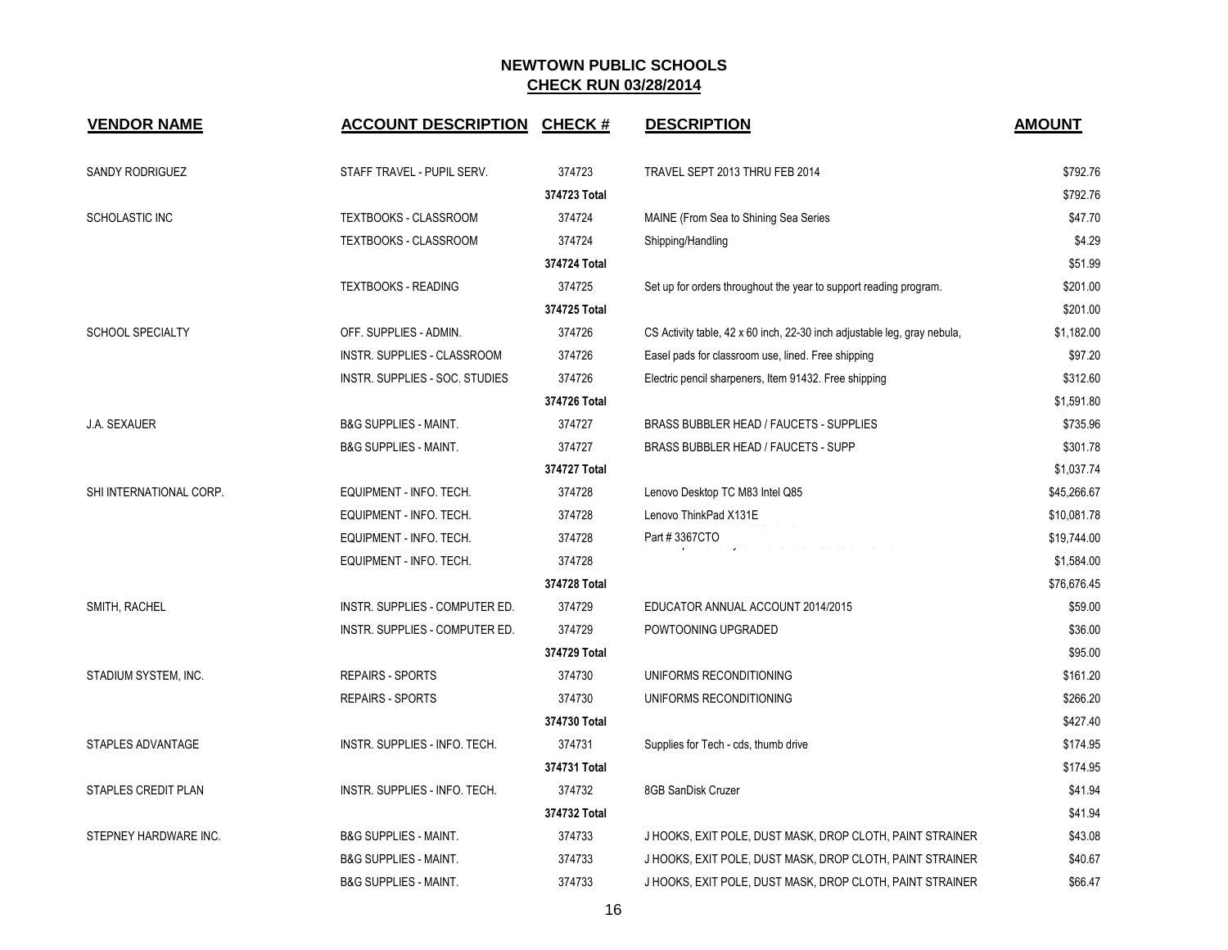| <b>VENDOR NAME</b>      | <b>ACCOUNT DESCRIPTION</b>       | <b>CHECK#</b> | <b>DESCRIPTION</b>                                                       | <b>AMOUNT</b> |
|-------------------------|----------------------------------|---------------|--------------------------------------------------------------------------|---------------|
| SANDY RODRIGUEZ         | STAFF TRAVEL - PUPIL SERV.       | 374723        | TRAVEL SEPT 2013 THRU FEB 2014                                           | \$792.76      |
|                         |                                  | 374723 Total  |                                                                          | \$792.76      |
| SCHOLASTIC INC          | TEXTBOOKS - CLASSROOM            | 374724        | MAINE (From Sea to Shining Sea Series                                    | \$47.70       |
|                         | TEXTBOOKS - CLASSROOM            | 374724        | Shipping/Handling                                                        | \$4.29        |
|                         |                                  | 374724 Total  |                                                                          | \$51.99       |
|                         | <b>TEXTBOOKS - READING</b>       | 374725        | Set up for orders throughout the year to support reading program.        | \$201.00      |
|                         |                                  | 374725 Total  |                                                                          | \$201.00      |
| <b>SCHOOL SPECIALTY</b> | OFF. SUPPLIES - ADMIN.           | 374726        | CS Activity table, 42 x 60 inch, 22-30 inch adjustable leg, gray nebula, | \$1,182.00    |
|                         | INSTR. SUPPLIES - CLASSROOM      | 374726        | Easel pads for classroom use, lined. Free shipping                       | \$97.20       |
|                         | INSTR. SUPPLIES - SOC. STUDIES   | 374726        | Electric pencil sharpeners, Item 91432. Free shipping                    | \$312.60      |
|                         |                                  | 374726 Total  |                                                                          | \$1,591.80    |
| <b>J.A. SEXAUER</b>     | <b>B&amp;G SUPPLIES - MAINT.</b> | 374727        | BRASS BUBBLER HEAD / FAUCETS - SUPPLIES                                  | \$735.96      |
|                         | <b>B&amp;G SUPPLIES - MAINT.</b> | 374727        | BRASS BUBBLER HEAD / FAUCETS - SUPP                                      | \$301.78      |
|                         |                                  | 374727 Total  |                                                                          | \$1,037.74    |
| SHI INTERNATIONAL CORP. | EQUIPMENT - INFO. TECH.          | 374728        | Lenovo Desktop TC M83 Intel Q85                                          | \$45,266.67   |
|                         | EQUIPMENT - INFO. TECH.          | 374728        | Lenovo ThinkPad X131E                                                    | \$10,081.78   |
|                         | EQUIPMENT - INFO. TECH.          | 374728        | Part #3367CTO<br>eparana ang nomina neuron euron ang mana                | \$19,744.00   |
|                         | EQUIPMENT - INFO. TECH.          | 374728        |                                                                          | \$1,584.00    |
|                         |                                  | 374728 Total  |                                                                          | \$76,676.45   |
| SMITH, RACHEL           | INSTR. SUPPLIES - COMPUTER ED.   | 374729        | EDUCATOR ANNUAL ACCOUNT 2014/2015                                        | \$59.00       |
|                         | INSTR. SUPPLIES - COMPUTER ED.   | 374729        | POWTOONING UPGRADED                                                      | \$36.00       |
|                         |                                  | 374729 Total  |                                                                          | \$95.00       |
| STADIUM SYSTEM, INC.    | <b>REPAIRS - SPORTS</b>          | 374730        | UNIFORMS RECONDITIONING                                                  | \$161.20      |
|                         | <b>REPAIRS - SPORTS</b>          | 374730        | UNIFORMS RECONDITIONING                                                  | \$266.20      |
|                         |                                  | 374730 Total  |                                                                          | \$427.40      |
| STAPLES ADVANTAGE       | INSTR. SUPPLIES - INFO. TECH.    | 374731        | Supplies for Tech - cds, thumb drive                                     | \$174.95      |
|                         |                                  | 374731 Total  |                                                                          | \$174.95      |
| STAPLES CREDIT PLAN     | INSTR. SUPPLIES - INFO. TECH.    | 374732        | 8GB SanDisk Cruzer                                                       | \$41.94       |
|                         |                                  | 374732 Total  |                                                                          | \$41.94       |
| STEPNEY HARDWARE INC.   | <b>B&amp;G SUPPLIES - MAINT.</b> | 374733        | J HOOKS, EXIT POLE, DUST MASK, DROP CLOTH, PAINT STRAINER                | \$43.08       |
|                         | <b>B&amp;G SUPPLIES - MAINT.</b> | 374733        | J HOOKS, EXIT POLE, DUST MASK, DROP CLOTH, PAINT STRAINER                | \$40.67       |
|                         | <b>B&amp;G SUPPLIES - MAINT.</b> | 374733        | J HOOKS, EXIT POLE, DUST MASK, DROP CLOTH, PAINT STRAINER                | \$66.47       |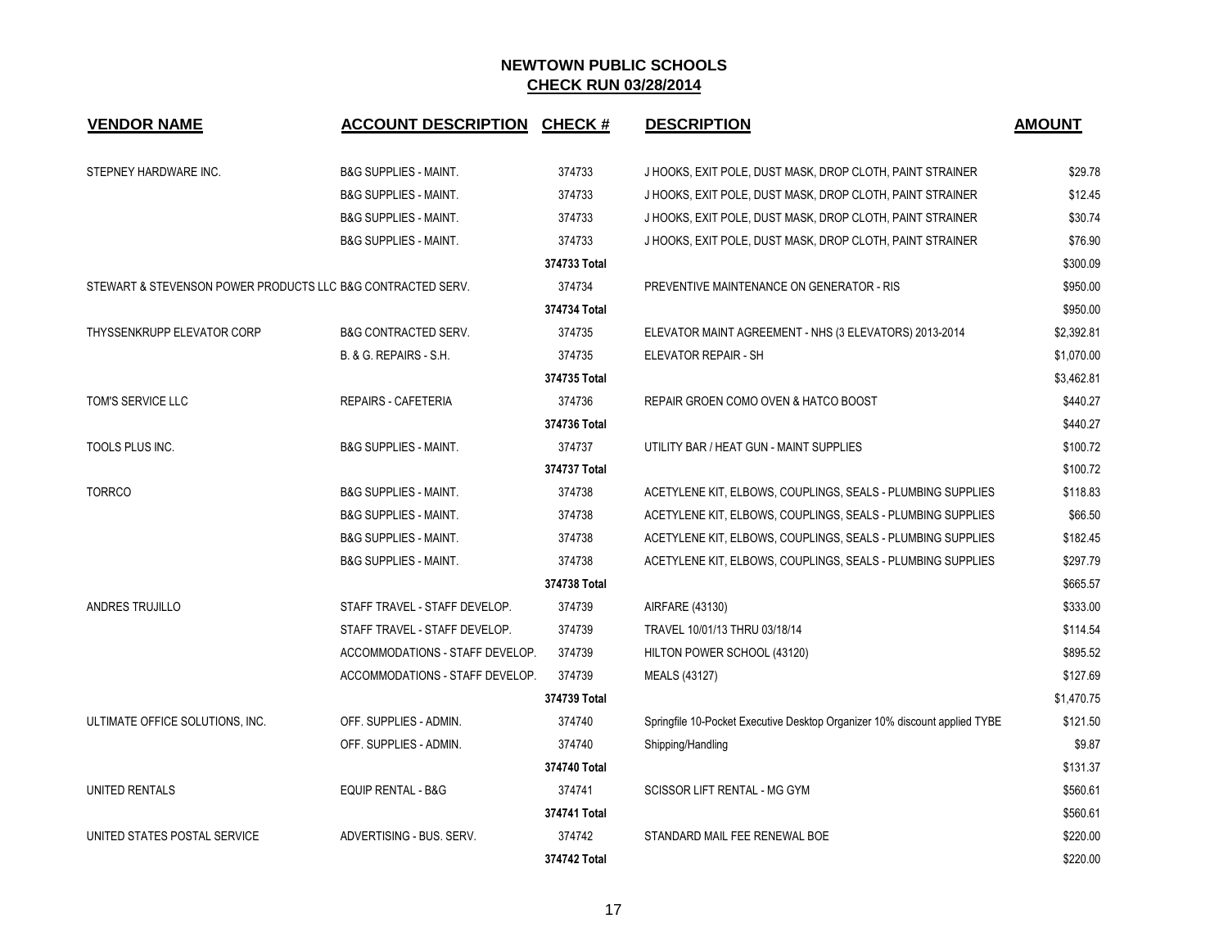| <b>VENDOR NAME</b>                                          | <b>ACCOUNT DESCRIPTION</b>       | <b>CHECK#</b> | <b>DESCRIPTION</b>                                                         | <b>AMOUNT</b> |
|-------------------------------------------------------------|----------------------------------|---------------|----------------------------------------------------------------------------|---------------|
| STEPNEY HARDWARE INC.                                       | <b>B&amp;G SUPPLIES - MAINT.</b> | 374733        | J HOOKS, EXIT POLE, DUST MASK, DROP CLOTH, PAINT STRAINER                  | \$29.78       |
|                                                             | <b>B&amp;G SUPPLIES - MAINT.</b> | 374733        | J HOOKS, EXIT POLE, DUST MASK, DROP CLOTH, PAINT STRAINER                  | \$12.45       |
|                                                             | <b>B&amp;G SUPPLIES - MAINT.</b> | 374733        | J HOOKS, EXIT POLE, DUST MASK, DROP CLOTH, PAINT STRAINER                  | \$30.74       |
|                                                             | <b>B&amp;G SUPPLIES - MAINT.</b> | 374733        | J HOOKS, EXIT POLE, DUST MASK, DROP CLOTH, PAINT STRAINER                  | \$76.90       |
|                                                             |                                  | 374733 Total  |                                                                            | \$300.09      |
| STEWART & STEVENSON POWER PRODUCTS LLC B&G CONTRACTED SERV. |                                  | 374734        | PREVENTIVE MAINTENANCE ON GENERATOR - RIS                                  | \$950.00      |
|                                                             |                                  | 374734 Total  |                                                                            | \$950.00      |
| THYSSENKRUPP ELEVATOR CORP                                  | <b>B&amp;G CONTRACTED SERV.</b>  | 374735        | ELEVATOR MAINT AGREEMENT - NHS (3 ELEVATORS) 2013-2014                     | \$2,392.81    |
|                                                             | B. & G. REPAIRS - S.H.           | 374735        | ELEVATOR REPAIR - SH                                                       | \$1,070.00    |
|                                                             |                                  | 374735 Total  |                                                                            | \$3,462.81    |
| TOM'S SERVICE LLC                                           | <b>REPAIRS - CAFETERIA</b>       | 374736        | REPAIR GROEN COMO OVEN & HATCO BOOST                                       | \$440.27      |
|                                                             |                                  | 374736 Total  |                                                                            | \$440.27      |
| TOOLS PLUS INC.                                             | <b>B&amp;G SUPPLIES - MAINT.</b> | 374737        | UTILITY BAR / HEAT GUN - MAINT SUPPLIES                                    | \$100.72      |
|                                                             |                                  | 374737 Total  |                                                                            | \$100.72      |
| <b>TORRCO</b>                                               | <b>B&amp;G SUPPLIES - MAINT.</b> | 374738        | ACETYLENE KIT, ELBOWS, COUPLINGS, SEALS - PLUMBING SUPPLIES                | \$118.83      |
|                                                             | <b>B&amp;G SUPPLIES - MAINT.</b> | 374738        | ACETYLENE KIT, ELBOWS, COUPLINGS, SEALS - PLUMBING SUPPLIES                | \$66.50       |
|                                                             | <b>B&amp;G SUPPLIES - MAINT.</b> | 374738        | ACETYLENE KIT, ELBOWS, COUPLINGS, SEALS - PLUMBING SUPPLIES                | \$182.45      |
|                                                             | <b>B&amp;G SUPPLIES - MAINT.</b> | 374738        | ACETYLENE KIT, ELBOWS, COUPLINGS, SEALS - PLUMBING SUPPLIES                | \$297.79      |
|                                                             |                                  | 374738 Total  |                                                                            | \$665.57      |
| ANDRES TRUJILLO                                             | STAFF TRAVEL - STAFF DEVELOP.    | 374739        | AIRFARE (43130)                                                            | \$333.00      |
|                                                             | STAFF TRAVEL - STAFF DEVELOP.    | 374739        | TRAVEL 10/01/13 THRU 03/18/14                                              | \$114.54      |
|                                                             | ACCOMMODATIONS - STAFF DEVELOP.  | 374739        | HILTON POWER SCHOOL (43120)                                                | \$895.52      |
|                                                             | ACCOMMODATIONS - STAFF DEVELOP.  | 374739        | MEALS (43127)                                                              | \$127.69      |
|                                                             |                                  | 374739 Total  |                                                                            | \$1,470.75    |
| ULTIMATE OFFICE SOLUTIONS, INC.                             | OFF. SUPPLIES - ADMIN.           | 374740        | Springfile 10-Pocket Executive Desktop Organizer 10% discount applied TYBE | \$121.50      |
|                                                             | OFF. SUPPLIES - ADMIN.           | 374740        | Shipping/Handling                                                          | \$9.87        |
|                                                             |                                  | 374740 Total  |                                                                            | \$131.37      |
| UNITED RENTALS                                              | <b>EQUIP RENTAL - B&amp;G</b>    | 374741        | <b>SCISSOR LIFT RENTAL - MG GYM</b>                                        | \$560.61      |
|                                                             |                                  | 374741 Total  |                                                                            | \$560.61      |
| UNITED STATES POSTAL SERVICE                                | ADVERTISING - BUS, SERV.         | 374742        | STANDARD MAIL FEE RENEWAL BOE                                              | \$220.00      |
|                                                             |                                  | 374742 Total  |                                                                            | \$220.00      |